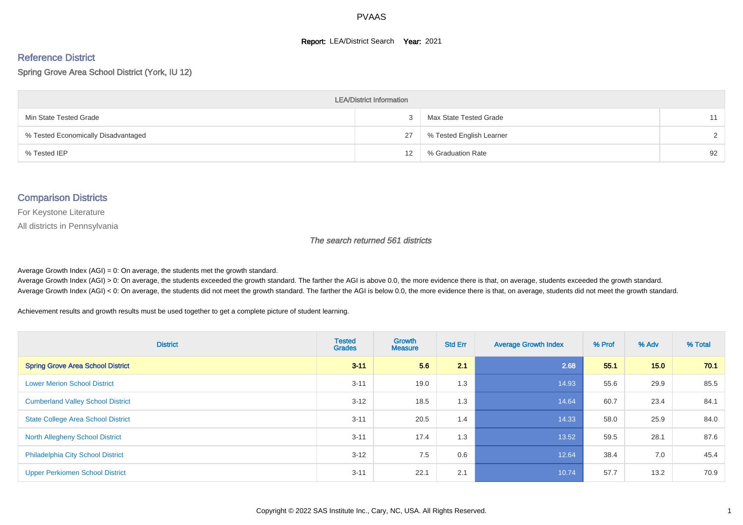#### **Report: LEA/District Search Year: 2021**

# Reference District

Spring Grove Area School District (York, IU 12)

| <b>LEA/District Information</b>     |                   |                          |               |  |  |  |  |  |  |  |
|-------------------------------------|-------------------|--------------------------|---------------|--|--|--|--|--|--|--|
| Min State Tested Grade              |                   | Max State Tested Grade   | 11            |  |  |  |  |  |  |  |
| % Tested Economically Disadvantaged | 27                | % Tested English Learner | $\mathcal{D}$ |  |  |  |  |  |  |  |
| % Tested IEP                        | $12 \overline{ }$ | % Graduation Rate        | 92            |  |  |  |  |  |  |  |

#### Comparison Districts

For Keystone Literature

All districts in Pennsylvania

The search returned 561 districts

Average Growth Index  $(AGI) = 0$ : On average, the students met the growth standard.

Average Growth Index (AGI) > 0: On average, the students exceeded the growth standard. The farther the AGI is above 0.0, the more evidence there is that, on average, students exceeded the growth standard. Average Growth Index (AGI) < 0: On average, the students did not meet the growth standard. The farther the AGI is below 0.0, the more evidence there is that, on average, students did not meet the growth standard.

Achievement results and growth results must be used together to get a complete picture of student learning.

| <b>District</b>                           | <b>Tested</b><br><b>Grades</b> | <b>Growth</b><br><b>Measure</b> | <b>Std Err</b> | <b>Average Growth Index</b> | % Prof | % Adv | % Total |
|-------------------------------------------|--------------------------------|---------------------------------|----------------|-----------------------------|--------|-------|---------|
| <b>Spring Grove Area School District</b>  | $3 - 11$                       | 5.6                             | 2.1            | 2.68                        | 55.1   | 15.0  | 70.1    |
| <b>Lower Merion School District</b>       | $3 - 11$                       | 19.0                            | 1.3            | 14.93                       | 55.6   | 29.9  | 85.5    |
| <b>Cumberland Valley School District</b>  | $3 - 12$                       | 18.5                            | 1.3            | 14.64                       | 60.7   | 23.4  | 84.1    |
| <b>State College Area School District</b> | $3 - 11$                       | 20.5                            | 1.4            | 14.33                       | 58.0   | 25.9  | 84.0    |
| <b>North Allegheny School District</b>    | $3 - 11$                       | 17.4                            | 1.3            | 13.52                       | 59.5   | 28.1  | 87.6    |
| <b>Philadelphia City School District</b>  | $3 - 12$                       | 7.5                             | 0.6            | 12.64                       | 38.4   | 7.0   | 45.4    |
| <b>Upper Perkiomen School District</b>    | $3 - 11$                       | 22.1                            | 2.1            | 10.74                       | 57.7   | 13.2  | 70.9    |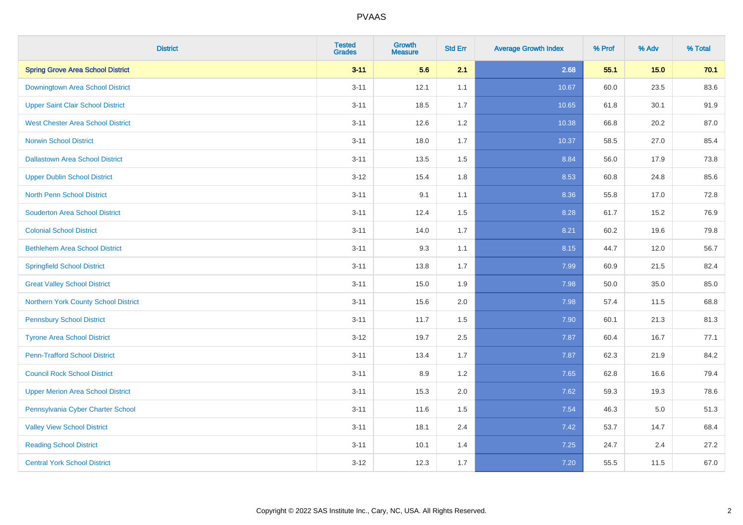| <b>District</b>                          | <b>Tested</b><br><b>Grades</b> | <b>Growth</b><br><b>Measure</b> | <b>Std Err</b> | <b>Average Growth Index</b> | % Prof | % Adv   | % Total |
|------------------------------------------|--------------------------------|---------------------------------|----------------|-----------------------------|--------|---------|---------|
| <b>Spring Grove Area School District</b> | $3 - 11$                       | 5.6                             | 2.1            | 2.68                        | 55.1   | 15.0    | 70.1    |
| Downingtown Area School District         | $3 - 11$                       | 12.1                            | 1.1            | 10.67                       | 60.0   | 23.5    | 83.6    |
| <b>Upper Saint Clair School District</b> | $3 - 11$                       | 18.5                            | 1.7            | 10.65                       | 61.8   | 30.1    | 91.9    |
| <b>West Chester Area School District</b> | $3 - 11$                       | 12.6                            | 1.2            | 10.38                       | 66.8   | 20.2    | 87.0    |
| <b>Norwin School District</b>            | $3 - 11$                       | 18.0                            | 1.7            | 10.37                       | 58.5   | 27.0    | 85.4    |
| <b>Dallastown Area School District</b>   | $3 - 11$                       | 13.5                            | 1.5            | 8.84                        | 56.0   | 17.9    | 73.8    |
| <b>Upper Dublin School District</b>      | $3-12$                         | 15.4                            | 1.8            | 8.53                        | 60.8   | 24.8    | 85.6    |
| <b>North Penn School District</b>        | $3 - 11$                       | 9.1                             | 1.1            | 8.36                        | 55.8   | 17.0    | 72.8    |
| <b>Souderton Area School District</b>    | $3 - 11$                       | 12.4                            | 1.5            | 8.28                        | 61.7   | 15.2    | 76.9    |
| <b>Colonial School District</b>          | $3 - 11$                       | 14.0                            | 1.7            | 8.21                        | 60.2   | 19.6    | 79.8    |
| <b>Bethlehem Area School District</b>    | $3 - 11$                       | 9.3                             | 1.1            | 8.15                        | 44.7   | 12.0    | 56.7    |
| <b>Springfield School District</b>       | $3 - 11$                       | 13.8                            | 1.7            | 7.99                        | 60.9   | 21.5    | 82.4    |
| <b>Great Valley School District</b>      | $3 - 11$                       | 15.0                            | 1.9            | 7.98                        | 50.0   | 35.0    | 85.0    |
| Northern York County School District     | $3 - 11$                       | 15.6                            | 2.0            | 7.98                        | 57.4   | 11.5    | 68.8    |
| <b>Pennsbury School District</b>         | $3 - 11$                       | 11.7                            | 1.5            | 7.90                        | 60.1   | 21.3    | 81.3    |
| <b>Tyrone Area School District</b>       | $3-12$                         | 19.7                            | 2.5            | 7.87                        | 60.4   | 16.7    | 77.1    |
| <b>Penn-Trafford School District</b>     | $3 - 11$                       | 13.4                            | 1.7            | 7.87                        | 62.3   | 21.9    | 84.2    |
| <b>Council Rock School District</b>      | $3 - 11$                       | 8.9                             | 1.2            | 7.65                        | 62.8   | 16.6    | 79.4    |
| <b>Upper Merion Area School District</b> | $3 - 11$                       | 15.3                            | 2.0            | 7.62                        | 59.3   | 19.3    | 78.6    |
| Pennsylvania Cyber Charter School        | $3 - 11$                       | 11.6                            | 1.5            | 7.54                        | 46.3   | $5.0\,$ | 51.3    |
| <b>Valley View School District</b>       | $3 - 11$                       | 18.1                            | 2.4            | 7.42                        | 53.7   | 14.7    | 68.4    |
| <b>Reading School District</b>           | $3 - 11$                       | 10.1                            | 1.4            | 7.25                        | 24.7   | 2.4     | 27.2    |
| <b>Central York School District</b>      | $3-12$                         | 12.3                            | 1.7            | $7.20$                      | 55.5   | 11.5    | 67.0    |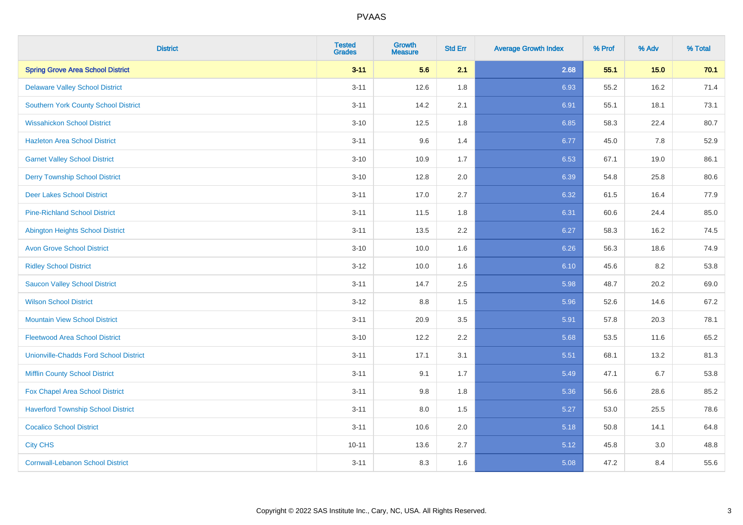| <b>District</b>                               | <b>Tested</b><br><b>Grades</b> | <b>Growth</b><br><b>Measure</b> | <b>Std Err</b> | <b>Average Growth Index</b> | % Prof | % Adv | % Total |
|-----------------------------------------------|--------------------------------|---------------------------------|----------------|-----------------------------|--------|-------|---------|
| <b>Spring Grove Area School District</b>      | $3 - 11$                       | 5.6                             | 2.1            | 2.68                        | 55.1   | 15.0  | 70.1    |
| <b>Delaware Valley School District</b>        | $3 - 11$                       | 12.6                            | 1.8            | 6.93                        | 55.2   | 16.2  | 71.4    |
| <b>Southern York County School District</b>   | $3 - 11$                       | 14.2                            | 2.1            | 6.91                        | 55.1   | 18.1  | 73.1    |
| <b>Wissahickon School District</b>            | $3 - 10$                       | 12.5                            | 1.8            | 6.85                        | 58.3   | 22.4  | 80.7    |
| <b>Hazleton Area School District</b>          | $3 - 11$                       | 9.6                             | 1.4            | 6.77                        | 45.0   | 7.8   | 52.9    |
| <b>Garnet Valley School District</b>          | $3 - 10$                       | 10.9                            | 1.7            | 6.53                        | 67.1   | 19.0  | 86.1    |
| <b>Derry Township School District</b>         | $3 - 10$                       | 12.8                            | 2.0            | 6.39                        | 54.8   | 25.8  | 80.6    |
| <b>Deer Lakes School District</b>             | $3 - 11$                       | 17.0                            | 2.7            | 6.32                        | 61.5   | 16.4  | 77.9    |
| <b>Pine-Richland School District</b>          | $3 - 11$                       | 11.5                            | 1.8            | 6.31                        | 60.6   | 24.4  | 85.0    |
| <b>Abington Heights School District</b>       | $3 - 11$                       | 13.5                            | 2.2            | 6.27                        | 58.3   | 16.2  | 74.5    |
| <b>Avon Grove School District</b>             | $3 - 10$                       | 10.0                            | 1.6            | 6.26                        | 56.3   | 18.6  | 74.9    |
| <b>Ridley School District</b>                 | $3 - 12$                       | 10.0                            | 1.6            | 6.10                        | 45.6   | 8.2   | 53.8    |
| <b>Saucon Valley School District</b>          | $3 - 11$                       | 14.7                            | 2.5            | 5.98                        | 48.7   | 20.2  | 69.0    |
| <b>Wilson School District</b>                 | $3 - 12$                       | $8.8\,$                         | 1.5            | 5.96                        | 52.6   | 14.6  | 67.2    |
| <b>Mountain View School District</b>          | $3 - 11$                       | 20.9                            | 3.5            | 5.91                        | 57.8   | 20.3  | 78.1    |
| <b>Fleetwood Area School District</b>         | $3 - 10$                       | 12.2                            | 2.2            | 5.68                        | 53.5   | 11.6  | 65.2    |
| <b>Unionville-Chadds Ford School District</b> | $3 - 11$                       | 17.1                            | 3.1            | 5.51                        | 68.1   | 13.2  | 81.3    |
| <b>Mifflin County School District</b>         | $3 - 11$                       | 9.1                             | 1.7            | 5.49                        | 47.1   | 6.7   | 53.8    |
| Fox Chapel Area School District               | $3 - 11$                       | 9.8                             | 1.8            | 5.36                        | 56.6   | 28.6  | 85.2    |
| <b>Haverford Township School District</b>     | $3 - 11$                       | 8.0                             | 1.5            | 5.27                        | 53.0   | 25.5  | 78.6    |
| <b>Cocalico School District</b>               | $3 - 11$                       | 10.6                            | 2.0            | 5.18                        | 50.8   | 14.1  | 64.8    |
| <b>City CHS</b>                               | $10 - 11$                      | 13.6                            | 2.7            | 5.12                        | 45.8   | 3.0   | 48.8    |
| <b>Cornwall-Lebanon School District</b>       | $3 - 11$                       | 8.3                             | 1.6            | 5.08                        | 47.2   | 8.4   | 55.6    |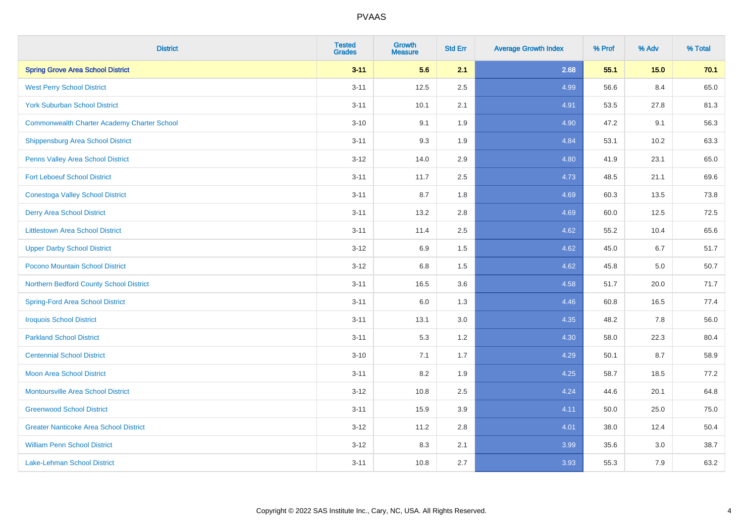| <b>District</b>                                    | <b>Tested</b><br><b>Grades</b> | <b>Growth</b><br><b>Measure</b> | <b>Std Err</b> | <b>Average Growth Index</b> | % Prof | % Adv  | % Total |
|----------------------------------------------------|--------------------------------|---------------------------------|----------------|-----------------------------|--------|--------|---------|
| <b>Spring Grove Area School District</b>           | $3 - 11$                       | 5.6                             | 2.1            | 2.68                        | 55.1   | $15.0$ | 70.1    |
| <b>West Perry School District</b>                  | $3 - 11$                       | 12.5                            | 2.5            | 4.99                        | 56.6   | 8.4    | 65.0    |
| <b>York Suburban School District</b>               | $3 - 11$                       | 10.1                            | 2.1            | 4.91                        | 53.5   | 27.8   | 81.3    |
| <b>Commonwealth Charter Academy Charter School</b> | $3 - 10$                       | 9.1                             | 1.9            | 4.90                        | 47.2   | 9.1    | 56.3    |
| Shippensburg Area School District                  | $3 - 11$                       | 9.3                             | 1.9            | 4.84                        | 53.1   | 10.2   | 63.3    |
| Penns Valley Area School District                  | $3 - 12$                       | 14.0                            | 2.9            | 4.80                        | 41.9   | 23.1   | 65.0    |
| <b>Fort Leboeuf School District</b>                | $3 - 11$                       | 11.7                            | 2.5            | 4.73                        | 48.5   | 21.1   | 69.6    |
| <b>Conestoga Valley School District</b>            | $3 - 11$                       | 8.7                             | 1.8            | 4.69                        | 60.3   | 13.5   | 73.8    |
| <b>Derry Area School District</b>                  | $3 - 11$                       | 13.2                            | 2.8            | 4.69                        | 60.0   | 12.5   | 72.5    |
| <b>Littlestown Area School District</b>            | $3 - 11$                       | 11.4                            | $2.5\,$        | 4.62                        | 55.2   | 10.4   | 65.6    |
| <b>Upper Darby School District</b>                 | $3 - 12$                       | 6.9                             | 1.5            | 4.62                        | 45.0   | 6.7    | 51.7    |
| Pocono Mountain School District                    | $3 - 12$                       | 6.8                             | 1.5            | 4.62                        | 45.8   | 5.0    | 50.7    |
| Northern Bedford County School District            | $3 - 11$                       | 16.5                            | 3.6            | 4.58                        | 51.7   | 20.0   | 71.7    |
| <b>Spring-Ford Area School District</b>            | $3 - 11$                       | 6.0                             | 1.3            | 4.46                        | 60.8   | 16.5   | 77.4    |
| <b>Iroquois School District</b>                    | $3 - 11$                       | 13.1                            | 3.0            | 4.35                        | 48.2   | 7.8    | 56.0    |
| <b>Parkland School District</b>                    | $3 - 11$                       | 5.3                             | 1.2            | 4.30                        | 58.0   | 22.3   | 80.4    |
| <b>Centennial School District</b>                  | $3 - 10$                       | 7.1                             | 1.7            | 4.29                        | 50.1   | 8.7    | 58.9    |
| <b>Moon Area School District</b>                   | $3 - 11$                       | 8.2                             | 1.9            | 4.25                        | 58.7   | 18.5   | 77.2    |
| <b>Montoursville Area School District</b>          | $3 - 12$                       | 10.8                            | 2.5            | 4.24                        | 44.6   | 20.1   | 64.8    |
| <b>Greenwood School District</b>                   | $3 - 11$                       | 15.9                            | 3.9            | 4.11                        | 50.0   | 25.0   | 75.0    |
| <b>Greater Nanticoke Area School District</b>      | $3 - 12$                       | 11.2                            | 2.8            | 4.01                        | 38.0   | 12.4   | 50.4    |
| <b>William Penn School District</b>                | $3 - 12$                       | 8.3                             | 2.1            | 3.99                        | 35.6   | 3.0    | 38.7    |
| <b>Lake-Lehman School District</b>                 | $3 - 11$                       | 10.8                            | 2.7            | 3.93                        | 55.3   | 7.9    | 63.2    |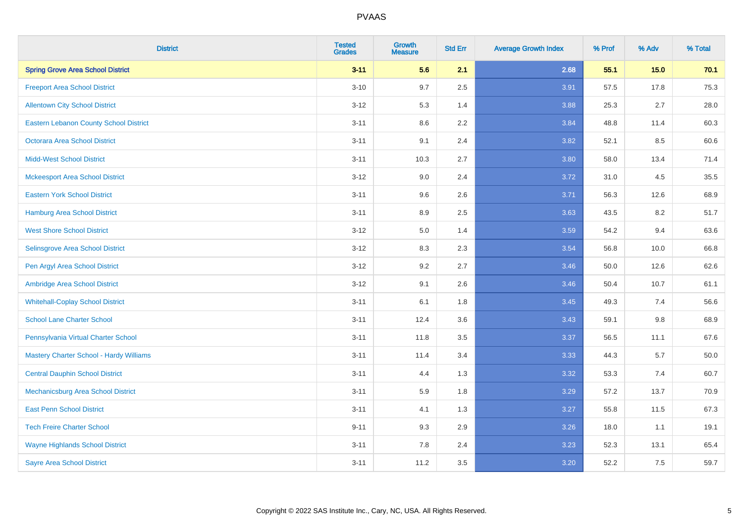| <b>District</b>                               | <b>Tested</b><br><b>Grades</b> | <b>Growth</b><br><b>Measure</b> | <b>Std Err</b> | <b>Average Growth Index</b> | % Prof | % Adv   | % Total  |
|-----------------------------------------------|--------------------------------|---------------------------------|----------------|-----------------------------|--------|---------|----------|
| <b>Spring Grove Area School District</b>      | $3 - 11$                       | 5.6                             | 2.1            | 2.68                        | 55.1   | 15.0    | 70.1     |
| <b>Freeport Area School District</b>          | $3 - 10$                       | 9.7                             | 2.5            | 3.91                        | 57.5   | 17.8    | 75.3     |
| <b>Allentown City School District</b>         | $3 - 12$                       | 5.3                             | 1.4            | 3.88                        | 25.3   | 2.7     | 28.0     |
| <b>Eastern Lebanon County School District</b> | $3 - 11$                       | 8.6                             | 2.2            | 3.84                        | 48.8   | 11.4    | 60.3     |
| <b>Octorara Area School District</b>          | $3 - 11$                       | 9.1                             | 2.4            | 3.82                        | 52.1   | 8.5     | 60.6     |
| <b>Midd-West School District</b>              | $3 - 11$                       | 10.3                            | 2.7            | 3.80                        | 58.0   | 13.4    | 71.4     |
| <b>Mckeesport Area School District</b>        | $3 - 12$                       | 9.0                             | 2.4            | 3.72                        | 31.0   | 4.5     | 35.5     |
| <b>Eastern York School District</b>           | $3 - 11$                       | 9.6                             | 2.6            | 3.71                        | 56.3   | 12.6    | 68.9     |
| <b>Hamburg Area School District</b>           | $3 - 11$                       | 8.9                             | 2.5            | 3.63                        | 43.5   | 8.2     | 51.7     |
| <b>West Shore School District</b>             | $3 - 12$                       | 5.0                             | 1.4            | 3.59                        | 54.2   | 9.4     | 63.6     |
| Selinsgrove Area School District              | $3 - 12$                       | 8.3                             | 2.3            | 3.54                        | 56.8   | 10.0    | 66.8     |
| Pen Argyl Area School District                | $3 - 12$                       | 9.2                             | 2.7            | 3.46                        | 50.0   | 12.6    | 62.6     |
| Ambridge Area School District                 | $3 - 12$                       | 9.1                             | 2.6            | 3.46                        | 50.4   | 10.7    | 61.1     |
| <b>Whitehall-Coplay School District</b>       | $3 - 11$                       | 6.1                             | 1.8            | 3.45                        | 49.3   | 7.4     | 56.6     |
| <b>School Lane Charter School</b>             | $3 - 11$                       | 12.4                            | 3.6            | 3.43                        | 59.1   | $9.8\,$ | 68.9     |
| Pennsylvania Virtual Charter School           | $3 - 11$                       | 11.8                            | $3.5\,$        | 3.37                        | 56.5   | 11.1    | 67.6     |
| Mastery Charter School - Hardy Williams       | $3 - 11$                       | 11.4                            | 3.4            | 3.33                        | 44.3   | 5.7     | $50.0\,$ |
| <b>Central Dauphin School District</b>        | $3 - 11$                       | 4.4                             | 1.3            | 3.32                        | 53.3   | 7.4     | 60.7     |
| Mechanicsburg Area School District            | $3 - 11$                       | 5.9                             | 1.8            | 3.29                        | 57.2   | 13.7    | 70.9     |
| <b>East Penn School District</b>              | $3 - 11$                       | 4.1                             | 1.3            | 3.27                        | 55.8   | 11.5    | 67.3     |
| <b>Tech Freire Charter School</b>             | $9 - 11$                       | 9.3                             | 2.9            | 3.26                        | 18.0   | 1.1     | 19.1     |
| <b>Wayne Highlands School District</b>        | $3 - 11$                       | 7.8                             | 2.4            | 3.23                        | 52.3   | 13.1    | 65.4     |
| <b>Sayre Area School District</b>             | $3 - 11$                       | 11.2                            | 3.5            | 3.20                        | 52.2   | 7.5     | 59.7     |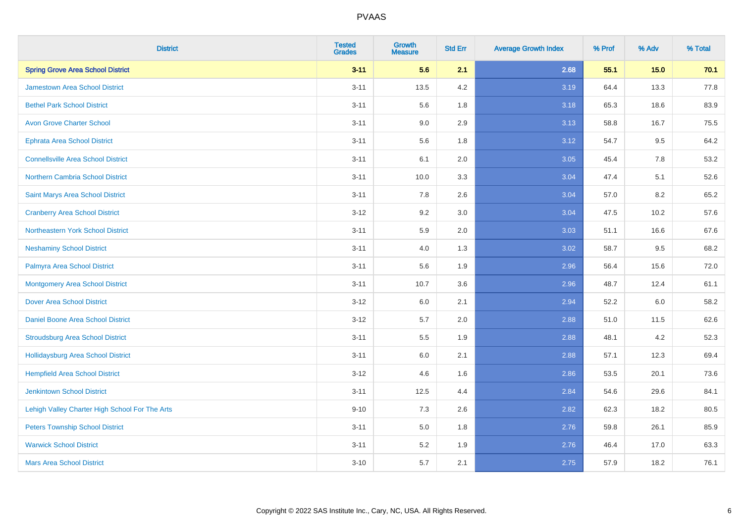| <b>District</b>                                | <b>Tested</b><br><b>Grades</b> | <b>Growth</b><br><b>Measure</b> | <b>Std Err</b> | <b>Average Growth Index</b> | % Prof | % Adv | % Total |
|------------------------------------------------|--------------------------------|---------------------------------|----------------|-----------------------------|--------|-------|---------|
| <b>Spring Grove Area School District</b>       | $3 - 11$                       | 5.6                             | 2.1            | 2.68                        | 55.1   | 15.0  | 70.1    |
| <b>Jamestown Area School District</b>          | $3 - 11$                       | 13.5                            | 4.2            | 3.19                        | 64.4   | 13.3  | 77.8    |
| <b>Bethel Park School District</b>             | $3 - 11$                       | 5.6                             | 1.8            | 3.18                        | 65.3   | 18.6  | 83.9    |
| <b>Avon Grove Charter School</b>               | $3 - 11$                       | 9.0                             | 2.9            | 3.13                        | 58.8   | 16.7  | 75.5    |
| <b>Ephrata Area School District</b>            | $3 - 11$                       | 5.6                             | 1.8            | 3.12                        | 54.7   | 9.5   | 64.2    |
| <b>Connellsville Area School District</b>      | $3 - 11$                       | 6.1                             | 2.0            | 3.05                        | 45.4   | 7.8   | 53.2    |
| <b>Northern Cambria School District</b>        | $3 - 11$                       | 10.0                            | 3.3            | 3.04                        | 47.4   | 5.1   | 52.6    |
| Saint Marys Area School District               | $3 - 11$                       | 7.8                             | 2.6            | 3.04                        | 57.0   | 8.2   | 65.2    |
| <b>Cranberry Area School District</b>          | $3 - 12$                       | 9.2                             | 3.0            | 3.04                        | 47.5   | 10.2  | 57.6    |
| Northeastern York School District              | $3 - 11$                       | 5.9                             | 2.0            | 3.03                        | 51.1   | 16.6  | 67.6    |
| <b>Neshaminy School District</b>               | $3 - 11$                       | 4.0                             | 1.3            | 3.02                        | 58.7   | 9.5   | 68.2    |
| Palmyra Area School District                   | $3 - 11$                       | 5.6                             | 1.9            | 2.96                        | 56.4   | 15.6  | 72.0    |
| <b>Montgomery Area School District</b>         | $3 - 11$                       | 10.7                            | 3.6            | 2.96                        | 48.7   | 12.4  | 61.1    |
| <b>Dover Area School District</b>              | $3 - 12$                       | 6.0                             | 2.1            | 2.94                        | 52.2   | 6.0   | 58.2    |
| Daniel Boone Area School District              | $3 - 12$                       | 5.7                             | 2.0            | 2.88                        | 51.0   | 11.5  | 62.6    |
| <b>Stroudsburg Area School District</b>        | $3 - 11$                       | $5.5\,$                         | 1.9            | 2.88                        | 48.1   | 4.2   | 52.3    |
| <b>Hollidaysburg Area School District</b>      | $3 - 11$                       | 6.0                             | 2.1            | 2.88                        | 57.1   | 12.3  | 69.4    |
| <b>Hempfield Area School District</b>          | $3 - 12$                       | 4.6                             | 1.6            | 2.86                        | 53.5   | 20.1  | 73.6    |
| <b>Jenkintown School District</b>              | $3 - 11$                       | 12.5                            | 4.4            | 2.84                        | 54.6   | 29.6  | 84.1    |
| Lehigh Valley Charter High School For The Arts | $9 - 10$                       | 7.3                             | 2.6            | 2.82                        | 62.3   | 18.2  | 80.5    |
| <b>Peters Township School District</b>         | $3 - 11$                       | 5.0                             | 1.8            | 2.76                        | 59.8   | 26.1  | 85.9    |
| <b>Warwick School District</b>                 | $3 - 11$                       | 5.2                             | 1.9            | 2.76                        | 46.4   | 17.0  | 63.3    |
| <b>Mars Area School District</b>               | $3 - 10$                       | 5.7                             | 2.1            | 2.75                        | 57.9   | 18.2  | 76.1    |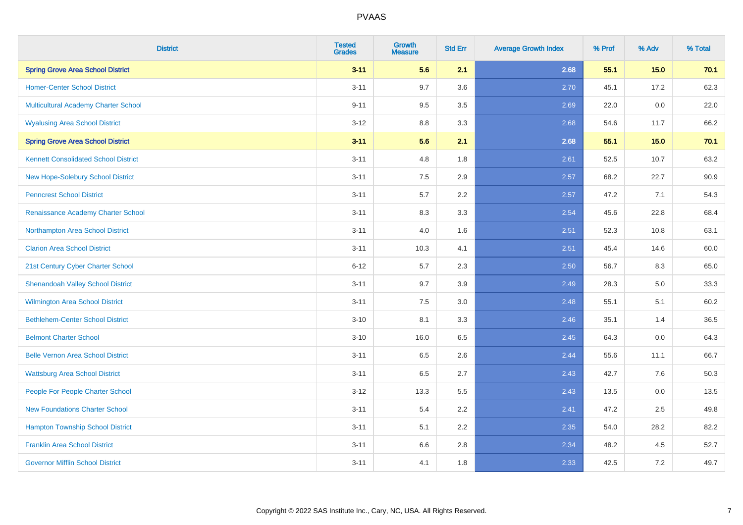| <b>District</b>                             | <b>Tested</b><br><b>Grades</b> | <b>Growth</b><br><b>Measure</b> | <b>Std Err</b> | <b>Average Growth Index</b> | % Prof | % Adv   | % Total |
|---------------------------------------------|--------------------------------|---------------------------------|----------------|-----------------------------|--------|---------|---------|
| <b>Spring Grove Area School District</b>    | $3 - 11$                       | 5.6                             | 2.1            | 2.68                        | 55.1   | $15.0$  | 70.1    |
| <b>Homer-Center School District</b>         | $3 - 11$                       | 9.7                             | 3.6            | 2.70                        | 45.1   | 17.2    | 62.3    |
| Multicultural Academy Charter School        | $9 - 11$                       | 9.5                             | 3.5            | 2.69                        | 22.0   | 0.0     | 22.0    |
| <b>Wyalusing Area School District</b>       | $3 - 12$                       | 8.8                             | 3.3            | 2.68                        | 54.6   | 11.7    | 66.2    |
| <b>Spring Grove Area School District</b>    | $3 - 11$                       | 5.6                             | 2.1            | 2.68                        | 55.1   | 15.0    | 70.1    |
| <b>Kennett Consolidated School District</b> | $3 - 11$                       | 4.8                             | 1.8            | 2.61                        | 52.5   | 10.7    | 63.2    |
| New Hope-Solebury School District           | $3 - 11$                       | 7.5                             | 2.9            | 2.57                        | 68.2   | 22.7    | 90.9    |
| <b>Penncrest School District</b>            | $3 - 11$                       | 5.7                             | 2.2            | 2.57                        | 47.2   | 7.1     | 54.3    |
| Renaissance Academy Charter School          | $3 - 11$                       | 8.3                             | 3.3            | 2.54                        | 45.6   | 22.8    | 68.4    |
| Northampton Area School District            | $3 - 11$                       | 4.0                             | 1.6            | 2.51                        | 52.3   | 10.8    | 63.1    |
| <b>Clarion Area School District</b>         | $3 - 11$                       | 10.3                            | 4.1            | 2.51                        | 45.4   | 14.6    | 60.0    |
| 21st Century Cyber Charter School           | $6 - 12$                       | 5.7                             | 2.3            | 2.50                        | 56.7   | 8.3     | 65.0    |
| <b>Shenandoah Valley School District</b>    | $3 - 11$                       | 9.7                             | 3.9            | 2.49                        | 28.3   | $5.0\,$ | 33.3    |
| Wilmington Area School District             | $3 - 11$                       | 7.5                             | 3.0            | 2.48                        | 55.1   | 5.1     | 60.2    |
| <b>Bethlehem-Center School District</b>     | $3 - 10$                       | 8.1                             | 3.3            | 2.46                        | 35.1   | 1.4     | 36.5    |
| <b>Belmont Charter School</b>               | $3 - 10$                       | 16.0                            | 6.5            | 2.45                        | 64.3   | $0.0\,$ | 64.3    |
| <b>Belle Vernon Area School District</b>    | $3 - 11$                       | 6.5                             | 2.6            | 2.44                        | 55.6   | 11.1    | 66.7    |
| <b>Wattsburg Area School District</b>       | $3 - 11$                       | 6.5                             | 2.7            | 2.43                        | 42.7   | 7.6     | 50.3    |
| People For People Charter School            | $3 - 12$                       | 13.3                            | 5.5            | 2.43                        | 13.5   | 0.0     | 13.5    |
| <b>New Foundations Charter School</b>       | $3 - 11$                       | 5.4                             | 2.2            | 2.41                        | 47.2   | 2.5     | 49.8    |
| <b>Hampton Township School District</b>     | $3 - 11$                       | 5.1                             | 2.2            | 2.35                        | 54.0   | 28.2    | 82.2    |
| <b>Franklin Area School District</b>        | $3 - 11$                       | 6.6                             | 2.8            | 2.34                        | 48.2   | 4.5     | 52.7    |
| <b>Governor Mifflin School District</b>     | $3 - 11$                       | 4.1                             | 1.8            | 2.33                        | 42.5   | 7.2     | 49.7    |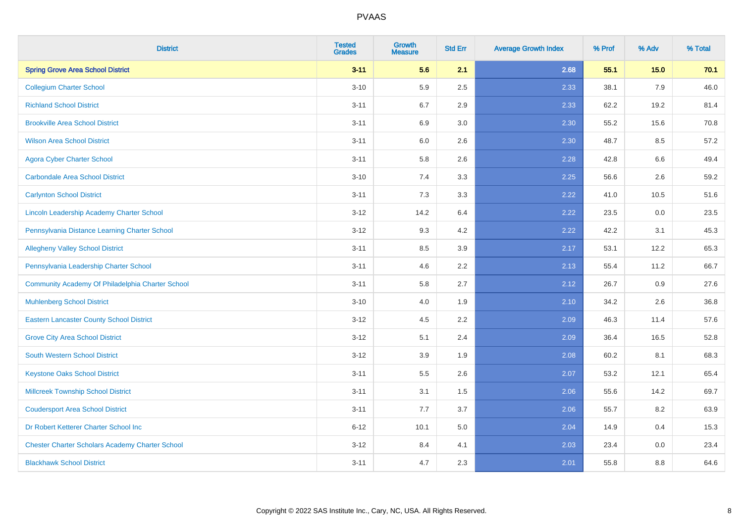| <b>District</b>                                        | <b>Tested</b><br><b>Grades</b> | <b>Growth</b><br><b>Measure</b> | <b>Std Err</b> | <b>Average Growth Index</b> | % Prof | % Adv | % Total |
|--------------------------------------------------------|--------------------------------|---------------------------------|----------------|-----------------------------|--------|-------|---------|
| <b>Spring Grove Area School District</b>               | $3 - 11$                       | 5.6                             | 2.1            | 2.68                        | 55.1   | 15.0  | 70.1    |
| <b>Collegium Charter School</b>                        | $3 - 10$                       | 5.9                             | 2.5            | 2.33                        | 38.1   | 7.9   | 46.0    |
| <b>Richland School District</b>                        | $3 - 11$                       | 6.7                             | 2.9            | 2.33                        | 62.2   | 19.2  | 81.4    |
| <b>Brookville Area School District</b>                 | $3 - 11$                       | 6.9                             | 3.0            | 2.30                        | 55.2   | 15.6  | 70.8    |
| <b>Wilson Area School District</b>                     | $3 - 11$                       | 6.0                             | 2.6            | 2.30                        | 48.7   | 8.5   | 57.2    |
| <b>Agora Cyber Charter School</b>                      | $3 - 11$                       | 5.8                             | 2.6            | 2.28                        | 42.8   | 6.6   | 49.4    |
| <b>Carbondale Area School District</b>                 | $3 - 10$                       | 7.4                             | 3.3            | 2.25                        | 56.6   | 2.6   | 59.2    |
| <b>Carlynton School District</b>                       | $3 - 11$                       | 7.3                             | 3.3            | 2.22                        | 41.0   | 10.5  | 51.6    |
| Lincoln Leadership Academy Charter School              | $3 - 12$                       | 14.2                            | 6.4            | 2.22                        | 23.5   | 0.0   | 23.5    |
| Pennsylvania Distance Learning Charter School          | $3 - 12$                       | 9.3                             | 4.2            | 2.22                        | 42.2   | 3.1   | 45.3    |
| <b>Allegheny Valley School District</b>                | $3 - 11$                       | 8.5                             | 3.9            | 2.17                        | 53.1   | 12.2  | 65.3    |
| Pennsylvania Leadership Charter School                 | $3 - 11$                       | 4.6                             | 2.2            | 2.13                        | 55.4   | 11.2  | 66.7    |
| Community Academy Of Philadelphia Charter School       | $3 - 11$                       | 5.8                             | 2.7            | 2.12                        | 26.7   | 0.9   | 27.6    |
| <b>Muhlenberg School District</b>                      | $3 - 10$                       | 4.0                             | 1.9            | 2.10                        | 34.2   | 2.6   | 36.8    |
| <b>Eastern Lancaster County School District</b>        | $3 - 12$                       | 4.5                             | 2.2            | 2.09                        | 46.3   | 11.4  | 57.6    |
| <b>Grove City Area School District</b>                 | $3 - 12$                       | 5.1                             | 2.4            | 2.09                        | 36.4   | 16.5  | 52.8    |
| <b>South Western School District</b>                   | $3 - 12$                       | 3.9                             | 1.9            | 2.08                        | 60.2   | 8.1   | 68.3    |
| <b>Keystone Oaks School District</b>                   | $3 - 11$                       | 5.5                             | 2.6            | 2.07                        | 53.2   | 12.1  | 65.4    |
| <b>Millcreek Township School District</b>              | $3 - 11$                       | 3.1                             | 1.5            | 2.06                        | 55.6   | 14.2  | 69.7    |
| <b>Coudersport Area School District</b>                | $3 - 11$                       | 7.7                             | 3.7            | 2.06                        | 55.7   | 8.2   | 63.9    |
| Dr Robert Ketterer Charter School Inc                  | $6 - 12$                       | 10.1                            | 5.0            | 2.04                        | 14.9   | 0.4   | 15.3    |
| <b>Chester Charter Scholars Academy Charter School</b> | $3 - 12$                       | 8.4                             | 4.1            | 2.03                        | 23.4   | 0.0   | 23.4    |
| <b>Blackhawk School District</b>                       | $3 - 11$                       | 4.7                             | 2.3            | 2.01                        | 55.8   | 8.8   | 64.6    |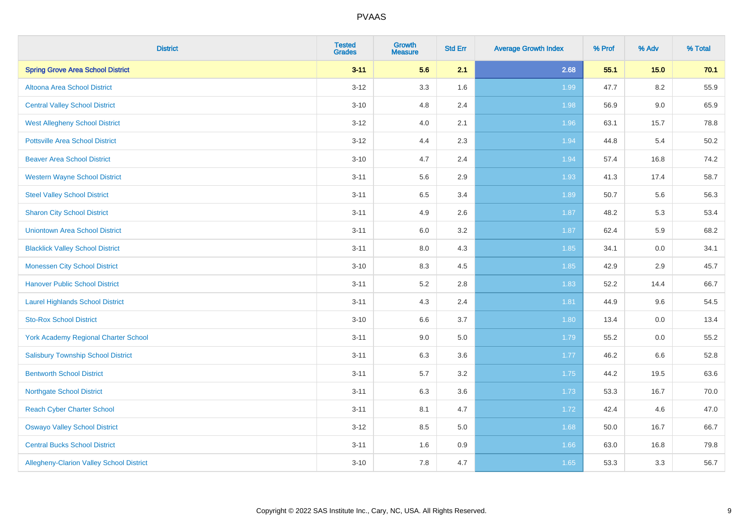| <b>District</b>                                 | <b>Tested</b><br><b>Grades</b> | <b>Growth</b><br><b>Measure</b> | <b>Std Err</b> | <b>Average Growth Index</b> | % Prof | % Adv   | % Total |
|-------------------------------------------------|--------------------------------|---------------------------------|----------------|-----------------------------|--------|---------|---------|
| <b>Spring Grove Area School District</b>        | $3 - 11$                       | 5.6                             | 2.1            | 2.68                        | 55.1   | 15.0    | 70.1    |
| Altoona Area School District                    | $3 - 12$                       | 3.3                             | 1.6            | 1.99                        | 47.7   | $8.2\,$ | 55.9    |
| <b>Central Valley School District</b>           | $3 - 10$                       | 4.8                             | 2.4            | 1.98                        | 56.9   | $9.0\,$ | 65.9    |
| <b>West Allegheny School District</b>           | $3 - 12$                       | 4.0                             | 2.1            | 1.96                        | 63.1   | 15.7    | 78.8    |
| <b>Pottsville Area School District</b>          | $3-12$                         | 4.4                             | 2.3            | 1.94                        | 44.8   | 5.4     | 50.2    |
| <b>Beaver Area School District</b>              | $3 - 10$                       | 4.7                             | 2.4            | 1.94                        | 57.4   | 16.8    | 74.2    |
| <b>Western Wayne School District</b>            | $3 - 11$                       | 5.6                             | 2.9            | 1.93                        | 41.3   | 17.4    | 58.7    |
| <b>Steel Valley School District</b>             | $3 - 11$                       | 6.5                             | 3.4            | 1.89                        | 50.7   | 5.6     | 56.3    |
| <b>Sharon City School District</b>              | $3 - 11$                       | 4.9                             | 2.6            | 1.87                        | 48.2   | 5.3     | 53.4    |
| <b>Uniontown Area School District</b>           | $3 - 11$                       | 6.0                             | 3.2            | 1.87                        | 62.4   | 5.9     | 68.2    |
| <b>Blacklick Valley School District</b>         | $3 - 11$                       | 8.0                             | 4.3            | 1.85                        | 34.1   | 0.0     | 34.1    |
| <b>Monessen City School District</b>            | $3 - 10$                       | 8.3                             | 4.5            | 1.85                        | 42.9   | 2.9     | 45.7    |
| <b>Hanover Public School District</b>           | $3 - 11$                       | 5.2                             | 2.8            | 1.83                        | 52.2   | 14.4    | 66.7    |
| <b>Laurel Highlands School District</b>         | $3 - 11$                       | 4.3                             | 2.4            | 1.81                        | 44.9   | 9.6     | 54.5    |
| <b>Sto-Rox School District</b>                  | $3 - 10$                       | 6.6                             | 3.7            | 1.80                        | 13.4   | 0.0     | 13.4    |
| <b>York Academy Regional Charter School</b>     | $3 - 11$                       | 9.0                             | 5.0            | 1.79                        | 55.2   | $0.0\,$ | 55.2    |
| <b>Salisbury Township School District</b>       | $3 - 11$                       | 6.3                             | 3.6            | 1.77                        | 46.2   | 6.6     | 52.8    |
| <b>Bentworth School District</b>                | $3 - 11$                       | 5.7                             | 3.2            | 1.75                        | 44.2   | 19.5    | 63.6    |
| <b>Northgate School District</b>                | $3 - 11$                       | 6.3                             | 3.6            | 1.73                        | 53.3   | 16.7    | 70.0    |
| <b>Reach Cyber Charter School</b>               | $3 - 11$                       | 8.1                             | 4.7            | 1.72                        | 42.4   | 4.6     | 47.0    |
| <b>Oswayo Valley School District</b>            | $3 - 12$                       | 8.5                             | 5.0            | 1.68                        | 50.0   | 16.7    | 66.7    |
| <b>Central Bucks School District</b>            | $3 - 11$                       | 1.6                             | 0.9            | 1.66                        | 63.0   | 16.8    | 79.8    |
| <b>Allegheny-Clarion Valley School District</b> | $3 - 10$                       | 7.8                             | 4.7            | 1.65                        | 53.3   | 3.3     | 56.7    |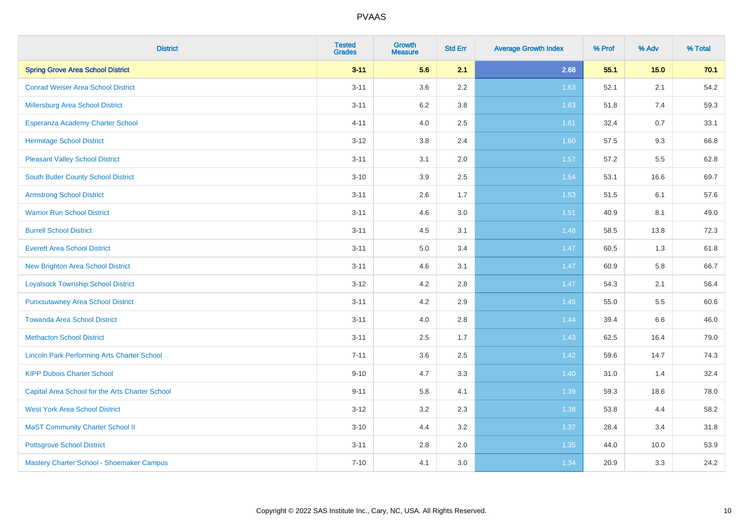| <b>District</b>                                    | <b>Tested</b><br><b>Grades</b> | <b>Growth</b><br><b>Measure</b> | <b>Std Err</b> | <b>Average Growth Index</b> | % Prof | % Adv  | % Total |
|----------------------------------------------------|--------------------------------|---------------------------------|----------------|-----------------------------|--------|--------|---------|
| <b>Spring Grove Area School District</b>           | $3 - 11$                       | 5.6                             | 2.1            | 2.68                        | 55.1   | $15.0$ | 70.1    |
| <b>Conrad Weiser Area School District</b>          | $3 - 11$                       | 3.6                             | $2.2\,$        | 1.63                        | 52.1   | 2.1    | 54.2    |
| <b>Millersburg Area School District</b>            | $3 - 11$                       | 6.2                             | 3.8            | 1.63                        | 51.8   | 7.4    | 59.3    |
| Esperanza Academy Charter School                   | $4 - 11$                       | 4.0                             | 2.5            | 1.61                        | 32.4   | 0.7    | 33.1    |
| <b>Hermitage School District</b>                   | $3 - 12$                       | 3.8                             | 2.4            | 1.60                        | 57.5   | 9.3    | 66.8    |
| <b>Pleasant Valley School District</b>             | $3 - 11$                       | 3.1                             | 2.0            | 1.57                        | 57.2   | 5.5    | 62.8    |
| South Butler County School District                | $3 - 10$                       | 3.9                             | 2.5            | 1.54                        | 53.1   | 16.6   | 69.7    |
| <b>Armstrong School District</b>                   | $3 - 11$                       | 2.6                             | 1.7            | 1.53                        | 51.5   | 6.1    | 57.6    |
| <b>Warrior Run School District</b>                 | $3 - 11$                       | 4.6                             | 3.0            | 1.51                        | 40.9   | 8.1    | 49.0    |
| <b>Burrell School District</b>                     | $3 - 11$                       | 4.5                             | 3.1            | 1.48                        | 58.5   | 13.8   | 72.3    |
| <b>Everett Area School District</b>                | $3 - 11$                       | 5.0                             | 3.4            | 1.47                        | 60.5   | 1.3    | 61.8    |
| <b>New Brighton Area School District</b>           | $3 - 11$                       | 4.6                             | 3.1            | 1.47                        | 60.9   | 5.8    | 66.7    |
| <b>Loyalsock Township School District</b>          | $3 - 12$                       | 4.2                             | $2.8\,$        | 1.47                        | 54.3   | 2.1    | 56.4    |
| <b>Punxsutawney Area School District</b>           | $3 - 11$                       | 4.2                             | 2.9            | 1.45                        | 55.0   | 5.5    | 60.6    |
| <b>Towanda Area School District</b>                | $3 - 11$                       | 4.0                             | 2.8            | 1.44                        | 39.4   | 6.6    | 46.0    |
| <b>Methacton School District</b>                   | $3 - 11$                       | 2.5                             | 1.7            | 1.43                        | 62.5   | 16.4   | 79.0    |
| <b>Lincoln Park Performing Arts Charter School</b> | $7 - 11$                       | 3.6                             | 2.5            | 1.42                        | 59.6   | 14.7   | 74.3    |
| <b>KIPP Dubois Charter School</b>                  | $9 - 10$                       | 4.7                             | 3.3            | $1.40$                      | 31.0   | 1.4    | 32.4    |
| Capital Area School for the Arts Charter School    | $9 - 11$                       | 5.8                             | 4.1            | 1.39                        | 59.3   | 18.6   | 78.0    |
| <b>West York Area School District</b>              | $3 - 12$                       | 3.2                             | 2.3            | 1.38                        | 53.8   | 4.4    | 58.2    |
| <b>MaST Community Charter School II</b>            | $3 - 10$                       | 4.4                             | 3.2            | 1.37                        | 28.4   | 3.4    | 31.8    |
| <b>Pottsgrove School District</b>                  | $3 - 11$                       | 2.8                             | 2.0            | 1.35                        | 44.0   | 10.0   | 53.9    |
| Mastery Charter School - Shoemaker Campus          | $7 - 10$                       | 4.1                             | 3.0            | 1.34                        | 20.9   | 3.3    | 24.2    |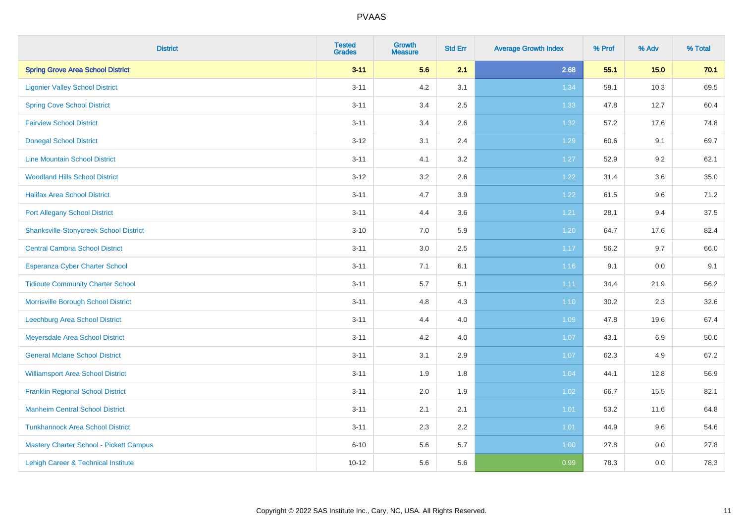| <b>District</b>                               | <b>Tested</b><br><b>Grades</b> | <b>Growth</b><br><b>Measure</b> | <b>Std Err</b> | <b>Average Growth Index</b> | % Prof | % Adv | % Total |
|-----------------------------------------------|--------------------------------|---------------------------------|----------------|-----------------------------|--------|-------|---------|
| <b>Spring Grove Area School District</b>      | $3 - 11$                       | 5.6                             | 2.1            | 2.68                        | 55.1   | 15.0  | 70.1    |
| <b>Ligonier Valley School District</b>        | $3 - 11$                       | $4.2\,$                         | 3.1            | 1.34                        | 59.1   | 10.3  | 69.5    |
| <b>Spring Cove School District</b>            | $3 - 11$                       | 3.4                             | 2.5            | 1.33                        | 47.8   | 12.7  | 60.4    |
| <b>Fairview School District</b>               | $3 - 11$                       | 3.4                             | 2.6            | 1.32                        | 57.2   | 17.6  | 74.8    |
| <b>Donegal School District</b>                | $3 - 12$                       | 3.1                             | 2.4            | 1.29                        | 60.6   | 9.1   | 69.7    |
| <b>Line Mountain School District</b>          | $3 - 11$                       | 4.1                             | 3.2            | 1.27                        | 52.9   | 9.2   | 62.1    |
| <b>Woodland Hills School District</b>         | $3 - 12$                       | 3.2                             | 2.6            | 1.22                        | 31.4   | 3.6   | 35.0    |
| <b>Halifax Area School District</b>           | $3 - 11$                       | 4.7                             | 3.9            | 1.22                        | 61.5   | 9.6   | 71.2    |
| <b>Port Allegany School District</b>          | $3 - 11$                       | 4.4                             | 3.6            | 1.21                        | 28.1   | 9.4   | 37.5    |
| <b>Shanksville-Stonycreek School District</b> | $3 - 10$                       | 7.0                             | 5.9            | 1.20                        | 64.7   | 17.6  | 82.4    |
| <b>Central Cambria School District</b>        | $3 - 11$                       | 3.0                             | 2.5            | 1.17                        | 56.2   | 9.7   | 66.0    |
| Esperanza Cyber Charter School                | $3 - 11$                       | 7.1                             | 6.1            | 1.16                        | 9.1    | 0.0   | 9.1     |
| <b>Tidioute Community Charter School</b>      | $3 - 11$                       | 5.7                             | 5.1            | 1.11                        | 34.4   | 21.9  | 56.2    |
| Morrisville Borough School District           | $3 - 11$                       | 4.8                             | 4.3            | $1.10$                      | 30.2   | 2.3   | 32.6    |
| <b>Leechburg Area School District</b>         | $3 - 11$                       | 4.4                             | 4.0            | 1.09                        | 47.8   | 19.6  | 67.4    |
| Meyersdale Area School District               | $3 - 11$                       | 4.2                             | 4.0            | 1.07                        | 43.1   | 6.9   | 50.0    |
| <b>General Mclane School District</b>         | $3 - 11$                       | 3.1                             | 2.9            | 1.07                        | 62.3   | 4.9   | 67.2    |
| <b>Williamsport Area School District</b>      | $3 - 11$                       | 1.9                             | 1.8            | 1.04                        | 44.1   | 12.8  | 56.9    |
| <b>Franklin Regional School District</b>      | $3 - 11$                       | 2.0                             | 1.9            | 1.02                        | 66.7   | 15.5  | 82.1    |
| <b>Manheim Central School District</b>        | $3 - 11$                       | 2.1                             | 2.1            | $1.01$                      | 53.2   | 11.6  | 64.8    |
| <b>Tunkhannock Area School District</b>       | $3 - 11$                       | 2.3                             | 2.2            | 1.01                        | 44.9   | 9.6   | 54.6    |
| Mastery Charter School - Pickett Campus       | $6 - 10$                       | 5.6                             | 5.7            | 1.00                        | 27.8   | 0.0   | 27.8    |
| Lehigh Career & Technical Institute           | $10 - 12$                      | 5.6                             | 5.6            | 0.99                        | 78.3   | 0.0   | 78.3    |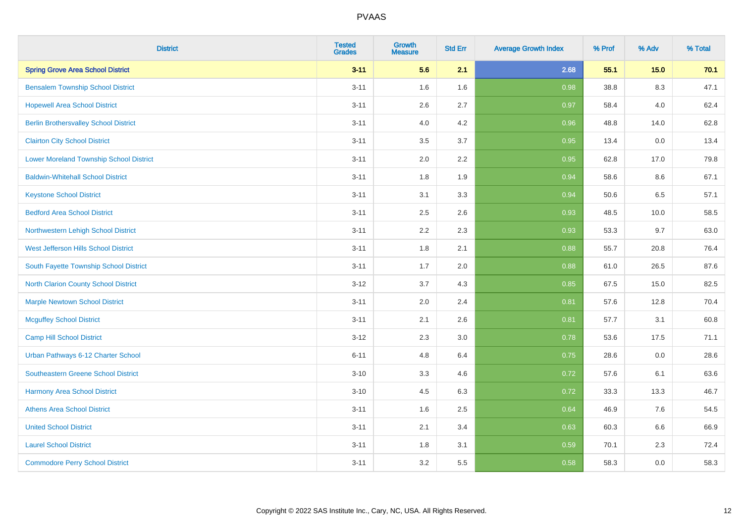| <b>District</b>                              | <b>Tested</b><br><b>Grades</b> | <b>Growth</b><br><b>Measure</b> | <b>Std Err</b> | <b>Average Growth Index</b> | % Prof | % Adv   | % Total |
|----------------------------------------------|--------------------------------|---------------------------------|----------------|-----------------------------|--------|---------|---------|
| <b>Spring Grove Area School District</b>     | $3 - 11$                       | 5.6                             | 2.1            | 2.68                        | 55.1   | 15.0    | 70.1    |
| <b>Bensalem Township School District</b>     | $3 - 11$                       | 1.6                             | 1.6            | 0.98                        | 38.8   | $8.3\,$ | 47.1    |
| <b>Hopewell Area School District</b>         | $3 - 11$                       | 2.6                             | 2.7            | 0.97                        | 58.4   | 4.0     | 62.4    |
| <b>Berlin Brothersvalley School District</b> | $3 - 11$                       | 4.0                             | 4.2            | 0.96                        | 48.8   | 14.0    | 62.8    |
| <b>Clairton City School District</b>         | $3 - 11$                       | 3.5                             | 3.7            | 0.95                        | 13.4   | 0.0     | 13.4    |
| Lower Moreland Township School District      | $3 - 11$                       | 2.0                             | 2.2            | 0.95                        | 62.8   | 17.0    | 79.8    |
| <b>Baldwin-Whitehall School District</b>     | $3 - 11$                       | 1.8                             | 1.9            | 0.94                        | 58.6   | 8.6     | 67.1    |
| <b>Keystone School District</b>              | $3 - 11$                       | 3.1                             | 3.3            | 0.94                        | 50.6   | 6.5     | 57.1    |
| <b>Bedford Area School District</b>          | $3 - 11$                       | 2.5                             | 2.6            | 0.93                        | 48.5   | 10.0    | 58.5    |
| Northwestern Lehigh School District          | $3 - 11$                       | 2.2                             | 2.3            | 0.93                        | 53.3   | 9.7     | 63.0    |
| West Jefferson Hills School District         | $3 - 11$                       | 1.8                             | 2.1            | 0.88                        | 55.7   | 20.8    | 76.4    |
| South Fayette Township School District       | $3 - 11$                       | 1.7                             | 2.0            | 0.88                        | 61.0   | 26.5    | 87.6    |
| <b>North Clarion County School District</b>  | $3-12$                         | 3.7                             | 4.3            | 0.85                        | 67.5   | 15.0    | 82.5    |
| <b>Marple Newtown School District</b>        | $3 - 11$                       | 2.0                             | 2.4            | 0.81                        | 57.6   | 12.8    | 70.4    |
| <b>Mcguffey School District</b>              | $3 - 11$                       | 2.1                             | 2.6            | 0.81                        | 57.7   | 3.1     | 60.8    |
| Camp Hill School District                    | $3-12$                         | 2.3                             | 3.0            | 0.78                        | 53.6   | 17.5    | 71.1    |
| Urban Pathways 6-12 Charter School           | $6 - 11$                       | 4.8                             | 6.4            | 0.75                        | 28.6   | 0.0     | 28.6    |
| Southeastern Greene School District          | $3 - 10$                       | 3.3                             | 4.6            | 0.72                        | 57.6   | 6.1     | 63.6    |
| <b>Harmony Area School District</b>          | $3 - 10$                       | 4.5                             | 6.3            | 0.72                        | 33.3   | 13.3    | 46.7    |
| <b>Athens Area School District</b>           | $3 - 11$                       | 1.6                             | 2.5            | 0.64                        | 46.9   | 7.6     | 54.5    |
| <b>United School District</b>                | $3 - 11$                       | 2.1                             | 3.4            | 0.63                        | 60.3   | 6.6     | 66.9    |
| <b>Laurel School District</b>                | $3 - 11$                       | 1.8                             | 3.1            | 0.59                        | 70.1   | 2.3     | 72.4    |
| <b>Commodore Perry School District</b>       | $3 - 11$                       | 3.2                             | 5.5            | 0.58                        | 58.3   | 0.0     | 58.3    |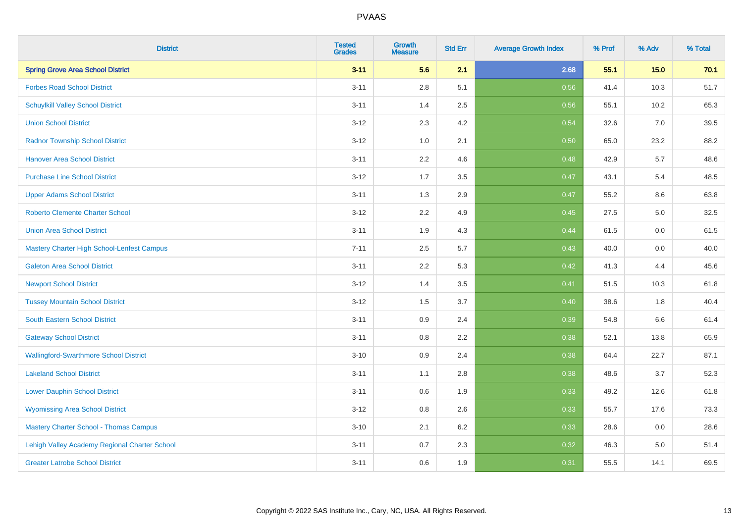| <b>District</b>                               | <b>Tested</b><br><b>Grades</b> | <b>Growth</b><br><b>Measure</b> | <b>Std Err</b> | <b>Average Growth Index</b> | % Prof | % Adv | % Total |
|-----------------------------------------------|--------------------------------|---------------------------------|----------------|-----------------------------|--------|-------|---------|
| <b>Spring Grove Area School District</b>      | $3 - 11$                       | 5.6                             | 2.1            | 2.68                        | 55.1   | 15.0  | 70.1    |
| <b>Forbes Road School District</b>            | $3 - 11$                       | $2.8\,$                         | 5.1            | 0.56                        | 41.4   | 10.3  | 51.7    |
| <b>Schuylkill Valley School District</b>      | $3 - 11$                       | 1.4                             | 2.5            | 0.56                        | 55.1   | 10.2  | 65.3    |
| <b>Union School District</b>                  | $3 - 12$                       | 2.3                             | 4.2            | 0.54                        | 32.6   | 7.0   | 39.5    |
| <b>Radnor Township School District</b>        | $3 - 12$                       | 1.0                             | 2.1            | 0.50                        | 65.0   | 23.2  | 88.2    |
| <b>Hanover Area School District</b>           | $3 - 11$                       | 2.2                             | 4.6            | 0.48                        | 42.9   | 5.7   | 48.6    |
| <b>Purchase Line School District</b>          | $3 - 12$                       | 1.7                             | 3.5            | 0.47                        | 43.1   | 5.4   | 48.5    |
| <b>Upper Adams School District</b>            | $3 - 11$                       | 1.3                             | 2.9            | 0.47                        | 55.2   | 8.6   | 63.8    |
| Roberto Clemente Charter School               | $3 - 12$                       | 2.2                             | 4.9            | 0.45                        | 27.5   | 5.0   | 32.5    |
| <b>Union Area School District</b>             | $3 - 11$                       | 1.9                             | 4.3            | 0.44                        | 61.5   | 0.0   | 61.5    |
| Mastery Charter High School-Lenfest Campus    | $7 - 11$                       | 2.5                             | 5.7            | 0.43                        | 40.0   | 0.0   | 40.0    |
| <b>Galeton Area School District</b>           | $3 - 11$                       | 2.2                             | 5.3            | 0.42                        | 41.3   | 4.4   | 45.6    |
| <b>Newport School District</b>                | $3 - 12$                       | 1.4                             | 3.5            | 0.41                        | 51.5   | 10.3  | 61.8    |
| <b>Tussey Mountain School District</b>        | $3 - 12$                       | 1.5                             | 3.7            | 0.40                        | 38.6   | 1.8   | 40.4    |
| South Eastern School District                 | $3 - 11$                       | 0.9                             | 2.4            | 0.39                        | 54.8   | 6.6   | 61.4    |
| <b>Gateway School District</b>                | $3 - 11$                       | 0.8                             | 2.2            | 0.38                        | 52.1   | 13.8  | 65.9    |
| <b>Wallingford-Swarthmore School District</b> | $3 - 10$                       | 0.9                             | 2.4            | 0.38                        | 64.4   | 22.7  | 87.1    |
| <b>Lakeland School District</b>               | $3 - 11$                       | 1.1                             | 2.8            | 0.38                        | 48.6   | 3.7   | 52.3    |
| <b>Lower Dauphin School District</b>          | $3 - 11$                       | 0.6                             | 1.9            | 0.33                        | 49.2   | 12.6  | 61.8    |
| <b>Wyomissing Area School District</b>        | $3 - 12$                       | $0.8\,$                         | 2.6            | 0.33                        | 55.7   | 17.6  | 73.3    |
| <b>Mastery Charter School - Thomas Campus</b> | $3 - 10$                       | 2.1                             | 6.2            | 0.33                        | 28.6   | 0.0   | 28.6    |
| Lehigh Valley Academy Regional Charter School | $3 - 11$                       | 0.7                             | 2.3            | 0.32                        | 46.3   | 5.0   | 51.4    |
| <b>Greater Latrobe School District</b>        | $3 - 11$                       | 0.6                             | 1.9            | 0.31                        | 55.5   | 14.1  | 69.5    |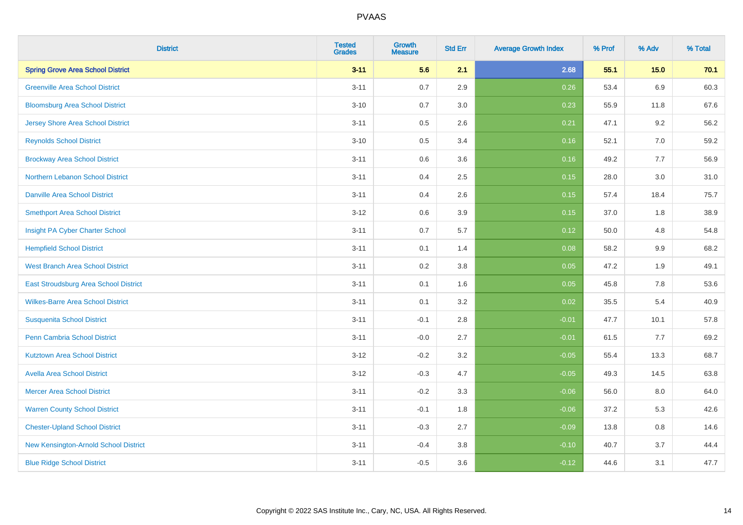| <b>District</b>                          | <b>Tested</b><br><b>Grades</b> | <b>Growth</b><br><b>Measure</b> | <b>Std Err</b> | <b>Average Growth Index</b> | % Prof | % Adv   | % Total |
|------------------------------------------|--------------------------------|---------------------------------|----------------|-----------------------------|--------|---------|---------|
| <b>Spring Grove Area School District</b> | $3 - 11$                       | 5.6                             | 2.1            | 2.68                        | 55.1   | 15.0    | 70.1    |
| <b>Greenville Area School District</b>   | $3 - 11$                       | 0.7                             | 2.9            | 0.26                        | 53.4   | 6.9     | 60.3    |
| <b>Bloomsburg Area School District</b>   | $3 - 10$                       | 0.7                             | 3.0            | 0.23                        | 55.9   | 11.8    | 67.6    |
| <b>Jersey Shore Area School District</b> | $3 - 11$                       | 0.5                             | 2.6            | 0.21                        | 47.1   | 9.2     | 56.2    |
| <b>Reynolds School District</b>          | $3 - 10$                       | 0.5                             | 3.4            | 0.16                        | 52.1   | 7.0     | 59.2    |
| <b>Brockway Area School District</b>     | $3 - 11$                       | 0.6                             | 3.6            | 0.16                        | 49.2   | 7.7     | 56.9    |
| Northern Lebanon School District         | $3 - 11$                       | 0.4                             | 2.5            | 0.15                        | 28.0   | 3.0     | 31.0    |
| <b>Danville Area School District</b>     | $3 - 11$                       | 0.4                             | 2.6            | 0.15                        | 57.4   | 18.4    | 75.7    |
| <b>Smethport Area School District</b>    | $3 - 12$                       | 0.6                             | 3.9            | 0.15                        | 37.0   | 1.8     | 38.9    |
| Insight PA Cyber Charter School          | $3 - 11$                       | 0.7                             | 5.7            | 0.12                        | 50.0   | 4.8     | 54.8    |
| <b>Hempfield School District</b>         | $3 - 11$                       | 0.1                             | 1.4            | 0.08                        | 58.2   | 9.9     | 68.2    |
| <b>West Branch Area School District</b>  | $3 - 11$                       | 0.2                             | 3.8            | 0.05                        | 47.2   | 1.9     | 49.1    |
| East Stroudsburg Area School District    | $3 - 11$                       | 0.1                             | 1.6            | 0.05                        | 45.8   | $7.8\,$ | 53.6    |
| <b>Wilkes-Barre Area School District</b> | $3 - 11$                       | 0.1                             | 3.2            | 0.02                        | 35.5   | 5.4     | 40.9    |
| <b>Susquenita School District</b>        | $3 - 11$                       | $-0.1$                          | 2.8            | $-0.01$                     | 47.7   | 10.1    | 57.8    |
| <b>Penn Cambria School District</b>      | $3 - 11$                       | $-0.0$                          | 2.7            | $-0.01$                     | 61.5   | 7.7     | 69.2    |
| <b>Kutztown Area School District</b>     | $3 - 12$                       | $-0.2$                          | 3.2            | $-0.05$                     | 55.4   | 13.3    | 68.7    |
| <b>Avella Area School District</b>       | $3 - 12$                       | $-0.3$                          | 4.7            | $-0.05$                     | 49.3   | 14.5    | 63.8    |
| <b>Mercer Area School District</b>       | $3 - 11$                       | $-0.2$                          | 3.3            | $-0.06$                     | 56.0   | 8.0     | 64.0    |
| <b>Warren County School District</b>     | $3 - 11$                       | $-0.1$                          | 1.8            | $-0.06$                     | 37.2   | 5.3     | 42.6    |
| <b>Chester-Upland School District</b>    | $3 - 11$                       | $-0.3$                          | 2.7            | $-0.09$                     | 13.8   | 0.8     | 14.6    |
| New Kensington-Arnold School District    | $3 - 11$                       | $-0.4$                          | 3.8            | $-0.10$                     | 40.7   | 3.7     | 44.4    |
| <b>Blue Ridge School District</b>        | $3 - 11$                       | $-0.5$                          | 3.6            | $-0.12$                     | 44.6   | 3.1     | 47.7    |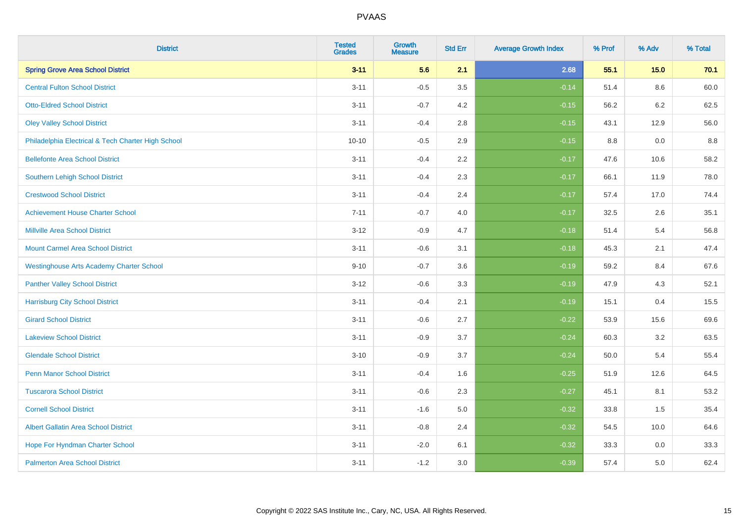| <b>District</b>                                    | <b>Tested</b><br><b>Grades</b> | <b>Growth</b><br><b>Measure</b> | <b>Std Err</b> | <b>Average Growth Index</b> | % Prof | % Adv | % Total |
|----------------------------------------------------|--------------------------------|---------------------------------|----------------|-----------------------------|--------|-------|---------|
| <b>Spring Grove Area School District</b>           | $3 - 11$                       | 5.6                             | 2.1            | 2.68                        | 55.1   | 15.0  | 70.1    |
| <b>Central Fulton School District</b>              | $3 - 11$                       | $-0.5$                          | 3.5            | $-0.14$                     | 51.4   | 8.6   | 60.0    |
| <b>Otto-Eldred School District</b>                 | $3 - 11$                       | $-0.7$                          | 4.2            | $-0.15$                     | 56.2   | 6.2   | 62.5    |
| <b>Oley Valley School District</b>                 | $3 - 11$                       | $-0.4$                          | 2.8            | $-0.15$                     | 43.1   | 12.9  | 56.0    |
| Philadelphia Electrical & Tech Charter High School | $10 - 10$                      | $-0.5$                          | 2.9            | $-0.15$                     | 8.8    | 0.0   | 8.8     |
| <b>Bellefonte Area School District</b>             | $3 - 11$                       | $-0.4$                          | 2.2            | $-0.17$                     | 47.6   | 10.6  | 58.2    |
| Southern Lehigh School District                    | $3 - 11$                       | $-0.4$                          | 2.3            | $-0.17$                     | 66.1   | 11.9  | 78.0    |
| <b>Crestwood School District</b>                   | $3 - 11$                       | $-0.4$                          | 2.4            | $-0.17$                     | 57.4   | 17.0  | 74.4    |
| <b>Achievement House Charter School</b>            | $7 - 11$                       | $-0.7$                          | 4.0            | $-0.17$                     | 32.5   | 2.6   | 35.1    |
| <b>Millville Area School District</b>              | $3 - 12$                       | $-0.9$                          | 4.7            | $-0.18$                     | 51.4   | 5.4   | 56.8    |
| <b>Mount Carmel Area School District</b>           | $3 - 11$                       | $-0.6$                          | 3.1            | $-0.18$                     | 45.3   | 2.1   | 47.4    |
| <b>Westinghouse Arts Academy Charter School</b>    | $9 - 10$                       | $-0.7$                          | 3.6            | $-0.19$                     | 59.2   | 8.4   | 67.6    |
| <b>Panther Valley School District</b>              | $3-12$                         | $-0.6$                          | 3.3            | $-0.19$                     | 47.9   | 4.3   | 52.1    |
| <b>Harrisburg City School District</b>             | $3 - 11$                       | $-0.4$                          | 2.1            | $-0.19$                     | 15.1   | 0.4   | 15.5    |
| <b>Girard School District</b>                      | $3 - 11$                       | $-0.6$                          | 2.7            | $-0.22$                     | 53.9   | 15.6  | 69.6    |
| <b>Lakeview School District</b>                    | $3 - 11$                       | $-0.9$                          | 3.7            | $-0.24$                     | 60.3   | 3.2   | 63.5    |
| <b>Glendale School District</b>                    | $3 - 10$                       | $-0.9$                          | 3.7            | $-0.24$                     | 50.0   | 5.4   | 55.4    |
| <b>Penn Manor School District</b>                  | $3 - 11$                       | $-0.4$                          | 1.6            | $-0.25$                     | 51.9   | 12.6  | 64.5    |
| <b>Tuscarora School District</b>                   | $3 - 11$                       | $-0.6$                          | 2.3            | $-0.27$                     | 45.1   | 8.1   | 53.2    |
| <b>Cornell School District</b>                     | $3 - 11$                       | $-1.6$                          | 5.0            | $-0.32$                     | 33.8   | 1.5   | 35.4    |
| <b>Albert Gallatin Area School District</b>        | $3 - 11$                       | $-0.8$                          | 2.4            | $-0.32$                     | 54.5   | 10.0  | 64.6    |
| Hope For Hyndman Charter School                    | $3 - 11$                       | $-2.0$                          | 6.1            | $-0.32$                     | 33.3   | 0.0   | 33.3    |
| <b>Palmerton Area School District</b>              | $3 - 11$                       | $-1.2$                          | 3.0            | $-0.39$                     | 57.4   | 5.0   | 62.4    |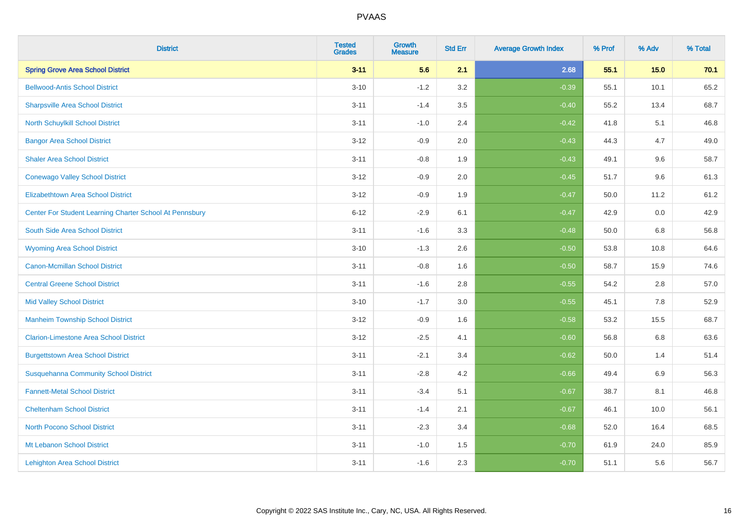| <b>District</b>                                         | <b>Tested</b><br><b>Grades</b> | <b>Growth</b><br><b>Measure</b> | <b>Std Err</b> | <b>Average Growth Index</b> | % Prof | % Adv   | % Total |
|---------------------------------------------------------|--------------------------------|---------------------------------|----------------|-----------------------------|--------|---------|---------|
| <b>Spring Grove Area School District</b>                | $3 - 11$                       | 5.6                             | 2.1            | 2.68                        | 55.1   | 15.0    | 70.1    |
| <b>Bellwood-Antis School District</b>                   | $3 - 10$                       | $-1.2$                          | 3.2            | $-0.39$                     | 55.1   | 10.1    | 65.2    |
| <b>Sharpsville Area School District</b>                 | $3 - 11$                       | $-1.4$                          | 3.5            | $-0.40$                     | 55.2   | 13.4    | 68.7    |
| North Schuylkill School District                        | $3 - 11$                       | $-1.0$                          | 2.4            | $-0.42$                     | 41.8   | 5.1     | 46.8    |
| <b>Bangor Area School District</b>                      | $3 - 12$                       | $-0.9$                          | 2.0            | $-0.43$                     | 44.3   | 4.7     | 49.0    |
| <b>Shaler Area School District</b>                      | $3 - 11$                       | $-0.8$                          | 1.9            | $-0.43$                     | 49.1   | 9.6     | 58.7    |
| <b>Conewago Valley School District</b>                  | $3 - 12$                       | $-0.9$                          | 2.0            | $-0.45$                     | 51.7   | 9.6     | 61.3    |
| <b>Elizabethtown Area School District</b>               | $3 - 12$                       | $-0.9$                          | 1.9            | $-0.47$                     | 50.0   | 11.2    | 61.2    |
| Center For Student Learning Charter School At Pennsbury | $6 - 12$                       | $-2.9$                          | 6.1            | $-0.47$                     | 42.9   | 0.0     | 42.9    |
| South Side Area School District                         | $3 - 11$                       | $-1.6$                          | 3.3            | $-0.48$                     | 50.0   | 6.8     | 56.8    |
| <b>Wyoming Area School District</b>                     | $3 - 10$                       | $-1.3$                          | 2.6            | $-0.50$                     | 53.8   | 10.8    | 64.6    |
| <b>Canon-Mcmillan School District</b>                   | $3 - 11$                       | $-0.8$                          | 1.6            | $-0.50$                     | 58.7   | 15.9    | 74.6    |
| <b>Central Greene School District</b>                   | $3 - 11$                       | $-1.6$                          | 2.8            | $-0.55$                     | 54.2   | $2.8\,$ | 57.0    |
| <b>Mid Valley School District</b>                       | $3 - 10$                       | $-1.7$                          | 3.0            | $-0.55$                     | 45.1   | 7.8     | 52.9    |
| <b>Manheim Township School District</b>                 | $3-12$                         | $-0.9$                          | 1.6            | $-0.58$                     | 53.2   | 15.5    | 68.7    |
| <b>Clarion-Limestone Area School District</b>           | $3-12$                         | $-2.5$                          | 4.1            | $-0.60$                     | 56.8   | $6.8\,$ | 63.6    |
| <b>Burgettstown Area School District</b>                | $3 - 11$                       | $-2.1$                          | 3.4            | $-0.62$                     | 50.0   | 1.4     | 51.4    |
| <b>Susquehanna Community School District</b>            | $3 - 11$                       | $-2.8$                          | 4.2            | $-0.66$                     | 49.4   | 6.9     | 56.3    |
| <b>Fannett-Metal School District</b>                    | $3 - 11$                       | $-3.4$                          | 5.1            | $-0.67$                     | 38.7   | 8.1     | 46.8    |
| <b>Cheltenham School District</b>                       | $3 - 11$                       | $-1.4$                          | 2.1            | $-0.67$                     | 46.1   | 10.0    | 56.1    |
| <b>North Pocono School District</b>                     | $3 - 11$                       | $-2.3$                          | 3.4            | $-0.68$                     | 52.0   | 16.4    | 68.5    |
| Mt Lebanon School District                              | $3 - 11$                       | $-1.0$                          | 1.5            | $-0.70$                     | 61.9   | 24.0    | 85.9    |
| <b>Lehighton Area School District</b>                   | $3 - 11$                       | $-1.6$                          | 2.3            | $-0.70$                     | 51.1   | 5.6     | 56.7    |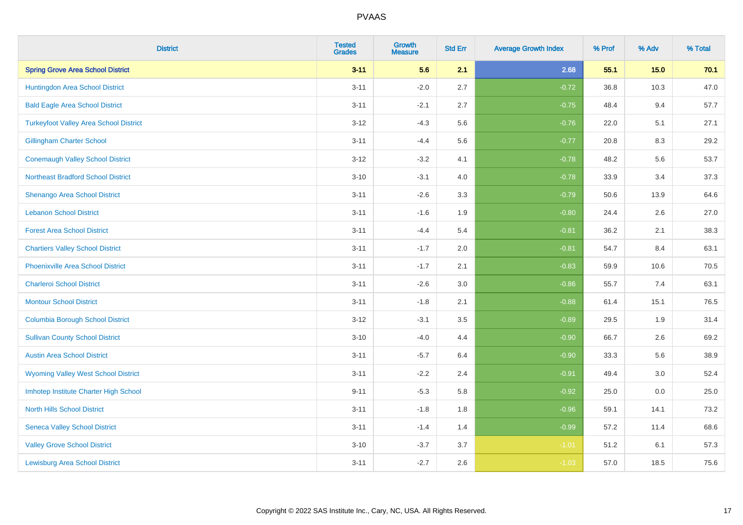| <b>District</b>                               | <b>Tested</b><br><b>Grades</b> | <b>Growth</b><br><b>Measure</b> | <b>Std Err</b> | <b>Average Growth Index</b> | % Prof | % Adv  | % Total |
|-----------------------------------------------|--------------------------------|---------------------------------|----------------|-----------------------------|--------|--------|---------|
| <b>Spring Grove Area School District</b>      | $3 - 11$                       | 5.6                             | 2.1            | 2.68                        | 55.1   | $15.0$ | 70.1    |
| Huntingdon Area School District               | $3 - 11$                       | $-2.0$                          | 2.7            | $-0.72$                     | 36.8   | 10.3   | 47.0    |
| <b>Bald Eagle Area School District</b>        | $3 - 11$                       | $-2.1$                          | 2.7            | $-0.75$                     | 48.4   | 9.4    | 57.7    |
| <b>Turkeyfoot Valley Area School District</b> | $3 - 12$                       | $-4.3$                          | 5.6            | $-0.76$                     | 22.0   | 5.1    | 27.1    |
| <b>Gillingham Charter School</b>              | $3 - 11$                       | $-4.4$                          | 5.6            | $-0.77$                     | 20.8   | 8.3    | 29.2    |
| <b>Conemaugh Valley School District</b>       | $3 - 12$                       | $-3.2$                          | 4.1            | $-0.78$                     | 48.2   | 5.6    | 53.7    |
| <b>Northeast Bradford School District</b>     | $3 - 10$                       | $-3.1$                          | 4.0            | $-0.78$                     | 33.9   | 3.4    | 37.3    |
| <b>Shenango Area School District</b>          | $3 - 11$                       | $-2.6$                          | 3.3            | $-0.79$                     | 50.6   | 13.9   | 64.6    |
| <b>Lebanon School District</b>                | $3 - 11$                       | $-1.6$                          | 1.9            | $-0.80$                     | 24.4   | 2.6    | 27.0    |
| <b>Forest Area School District</b>            | $3 - 11$                       | $-4.4$                          | 5.4            | $-0.81$                     | 36.2   | 2.1    | 38.3    |
| <b>Chartiers Valley School District</b>       | $3 - 11$                       | $-1.7$                          | 2.0            | $-0.81$                     | 54.7   | 8.4    | 63.1    |
| <b>Phoenixville Area School District</b>      | $3 - 11$                       | $-1.7$                          | 2.1            | $-0.83$                     | 59.9   | 10.6   | 70.5    |
| <b>Charleroi School District</b>              | $3 - 11$                       | $-2.6$                          | 3.0            | $-0.86$                     | 55.7   | $7.4$  | 63.1    |
| <b>Montour School District</b>                | $3 - 11$                       | $-1.8$                          | 2.1            | $-0.88$                     | 61.4   | 15.1   | 76.5    |
| <b>Columbia Borough School District</b>       | $3 - 12$                       | $-3.1$                          | 3.5            | $-0.89$                     | 29.5   | 1.9    | 31.4    |
| <b>Sullivan County School District</b>        | $3 - 10$                       | $-4.0$                          | 4.4            | $-0.90$                     | 66.7   | 2.6    | 69.2    |
| <b>Austin Area School District</b>            | $3 - 11$                       | $-5.7$                          | 6.4            | $-0.90$                     | 33.3   | 5.6    | 38.9    |
| <b>Wyoming Valley West School District</b>    | $3 - 11$                       | $-2.2$                          | 2.4            | $-0.91$                     | 49.4   | 3.0    | 52.4    |
| Imhotep Institute Charter High School         | $9 - 11$                       | $-5.3$                          | 5.8            | $-0.92$                     | 25.0   | 0.0    | 25.0    |
| <b>North Hills School District</b>            | $3 - 11$                       | $-1.8$                          | 1.8            | $-0.96$                     | 59.1   | 14.1   | 73.2    |
| <b>Seneca Valley School District</b>          | $3 - 11$                       | $-1.4$                          | 1.4            | $-0.99$                     | 57.2   | 11.4   | 68.6    |
| <b>Valley Grove School District</b>           | $3 - 10$                       | $-3.7$                          | 3.7            | $-1.01$                     | 51.2   | 6.1    | 57.3    |
| <b>Lewisburg Area School District</b>         | $3 - 11$                       | $-2.7$                          | 2.6            | $-1.03$                     | 57.0   | 18.5   | 75.6    |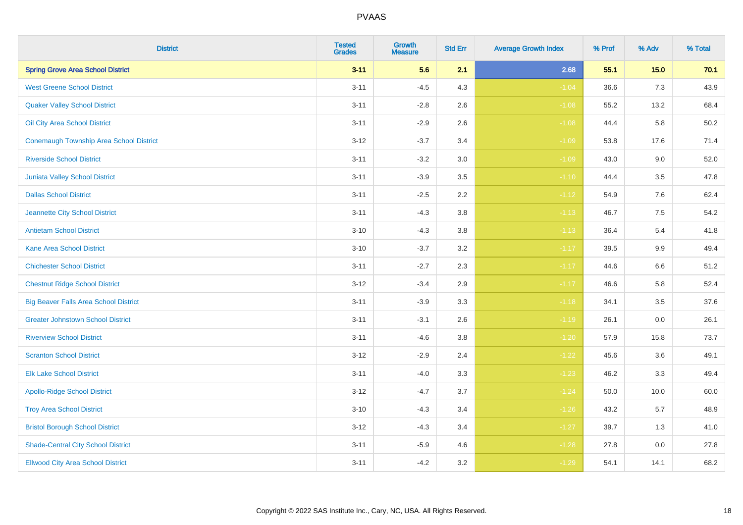| <b>District</b>                                | <b>Tested</b><br><b>Grades</b> | <b>Growth</b><br><b>Measure</b> | <b>Std Err</b> | <b>Average Growth Index</b> | % Prof | % Adv   | % Total |
|------------------------------------------------|--------------------------------|---------------------------------|----------------|-----------------------------|--------|---------|---------|
| <b>Spring Grove Area School District</b>       | $3 - 11$                       | 5.6                             | 2.1            | 2.68                        | 55.1   | $15.0$  | 70.1    |
| <b>West Greene School District</b>             | $3 - 11$                       | $-4.5$                          | 4.3            | $-1.04$                     | 36.6   | 7.3     | 43.9    |
| <b>Quaker Valley School District</b>           | $3 - 11$                       | $-2.8$                          | 2.6            | $-1.08$                     | 55.2   | 13.2    | 68.4    |
| Oil City Area School District                  | $3 - 11$                       | $-2.9$                          | 2.6            | $-1.08$                     | 44.4   | 5.8     | 50.2    |
| <b>Conemaugh Township Area School District</b> | $3 - 12$                       | $-3.7$                          | 3.4            | $-1.09$                     | 53.8   | 17.6    | 71.4    |
| <b>Riverside School District</b>               | $3 - 11$                       | $-3.2$                          | 3.0            | $-1.09$                     | 43.0   | 9.0     | 52.0    |
| Juniata Valley School District                 | $3 - 11$                       | $-3.9$                          | 3.5            | $-1.10$                     | 44.4   | 3.5     | 47.8    |
| <b>Dallas School District</b>                  | $3 - 11$                       | $-2.5$                          | 2.2            | $-1.12$                     | 54.9   | 7.6     | 62.4    |
| Jeannette City School District                 | $3 - 11$                       | $-4.3$                          | 3.8            | $-1.13$                     | 46.7   | 7.5     | 54.2    |
| <b>Antietam School District</b>                | $3 - 10$                       | $-4.3$                          | 3.8            | $-1.13$                     | 36.4   | 5.4     | 41.8    |
| <b>Kane Area School District</b>               | $3 - 10$                       | $-3.7$                          | 3.2            | $-1.17$                     | 39.5   | 9.9     | 49.4    |
| <b>Chichester School District</b>              | $3 - 11$                       | $-2.7$                          | 2.3            | $-1.17$                     | 44.6   | $6.6\,$ | 51.2    |
| <b>Chestnut Ridge School District</b>          | $3 - 12$                       | $-3.4$                          | 2.9            | $-1.17$                     | 46.6   | 5.8     | 52.4    |
| <b>Big Beaver Falls Area School District</b>   | $3 - 11$                       | $-3.9$                          | 3.3            | $-1.18$                     | 34.1   | 3.5     | 37.6    |
| <b>Greater Johnstown School District</b>       | $3 - 11$                       | $-3.1$                          | 2.6            | $-1.19$                     | 26.1   | 0.0     | 26.1    |
| <b>Riverview School District</b>               | $3 - 11$                       | $-4.6$                          | 3.8            | $-1.20$                     | 57.9   | 15.8    | 73.7    |
| <b>Scranton School District</b>                | $3 - 12$                       | $-2.9$                          | 2.4            | $-1.22$                     | 45.6   | 3.6     | 49.1    |
| <b>Elk Lake School District</b>                | $3 - 11$                       | $-4.0$                          | 3.3            | $-1.23$                     | 46.2   | 3.3     | 49.4    |
| <b>Apollo-Ridge School District</b>            | $3 - 12$                       | $-4.7$                          | 3.7            | $-1.24$                     | 50.0   | 10.0    | 60.0    |
| <b>Troy Area School District</b>               | $3 - 10$                       | $-4.3$                          | 3.4            | $-1.26$                     | 43.2   | 5.7     | 48.9    |
| <b>Bristol Borough School District</b>         | $3 - 12$                       | $-4.3$                          | 3.4            | $-1.27$                     | 39.7   | 1.3     | 41.0    |
| <b>Shade-Central City School District</b>      | $3 - 11$                       | $-5.9$                          | 4.6            | $-1.28$                     | 27.8   | 0.0     | 27.8    |
| <b>Ellwood City Area School District</b>       | $3 - 11$                       | $-4.2$                          | 3.2            | $-1.29$                     | 54.1   | 14.1    | 68.2    |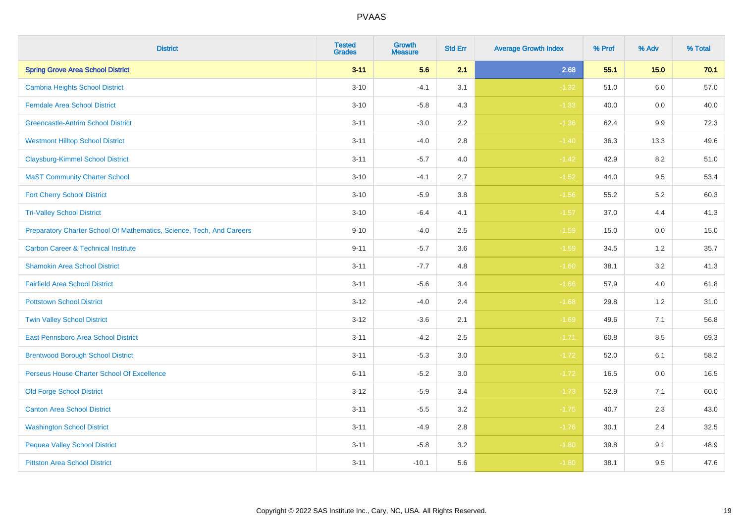| <b>District</b>                                                       | <b>Tested</b><br><b>Grades</b> | Growth<br><b>Measure</b> | <b>Std Err</b> | <b>Average Growth Index</b> | % Prof | % Adv   | % Total |
|-----------------------------------------------------------------------|--------------------------------|--------------------------|----------------|-----------------------------|--------|---------|---------|
| <b>Spring Grove Area School District</b>                              | $3 - 11$                       | 5.6                      | 2.1            | 2.68                        | 55.1   | $15.0$  | 70.1    |
| <b>Cambria Heights School District</b>                                | $3 - 10$                       | $-4.1$                   | 3.1            | $-1.32$                     | 51.0   | 6.0     | 57.0    |
| <b>Ferndale Area School District</b>                                  | $3 - 10$                       | $-5.8$                   | 4.3            | $-1.33$                     | 40.0   | 0.0     | 40.0    |
| <b>Greencastle-Antrim School District</b>                             | $3 - 11$                       | $-3.0$                   | $2.2\,$        | $-1.36$                     | 62.4   | 9.9     | 72.3    |
| <b>Westmont Hilltop School District</b>                               | $3 - 11$                       | $-4.0$                   | 2.8            | $-1.40$                     | 36.3   | 13.3    | 49.6    |
| <b>Claysburg-Kimmel School District</b>                               | $3 - 11$                       | $-5.7$                   | 4.0            | $-1.42$                     | 42.9   | 8.2     | 51.0    |
| <b>MaST Community Charter School</b>                                  | $3 - 10$                       | $-4.1$                   | 2.7            | $-1.52$                     | 44.0   | 9.5     | 53.4    |
| <b>Fort Cherry School District</b>                                    | $3 - 10$                       | $-5.9$                   | 3.8            | $-1.56$                     | 55.2   | 5.2     | 60.3    |
| <b>Tri-Valley School District</b>                                     | $3 - 10$                       | $-6.4$                   | 4.1            | $-1.57$                     | 37.0   | 4.4     | 41.3    |
| Preparatory Charter School Of Mathematics, Science, Tech, And Careers | $9 - 10$                       | $-4.0$                   | $2.5\,$        | $-1.59$                     | 15.0   | $0.0\,$ | 15.0    |
| <b>Carbon Career &amp; Technical Institute</b>                        | $9 - 11$                       | $-5.7$                   | 3.6            | $-1.59$                     | 34.5   | 1.2     | 35.7    |
| <b>Shamokin Area School District</b>                                  | $3 - 11$                       | $-7.7$                   | 4.8            | $-1.60$                     | 38.1   | 3.2     | 41.3    |
| <b>Fairfield Area School District</b>                                 | $3 - 11$                       | $-5.6$                   | 3.4            | $-1.66$                     | 57.9   | 4.0     | 61.8    |
| <b>Pottstown School District</b>                                      | $3 - 12$                       | $-4.0$                   | 2.4            | $-1.68$                     | 29.8   | $1.2$   | 31.0    |
| <b>Twin Valley School District</b>                                    | $3 - 12$                       | $-3.6$                   | 2.1            | $-1.69$                     | 49.6   | 7.1     | 56.8    |
| <b>East Pennsboro Area School District</b>                            | $3 - 11$                       | $-4.2$                   | 2.5            | $-1.71$                     | 60.8   | 8.5     | 69.3    |
| <b>Brentwood Borough School District</b>                              | $3 - 11$                       | $-5.3$                   | 3.0            | $-1.72$                     | 52.0   | 6.1     | 58.2    |
| Perseus House Charter School Of Excellence                            | $6 - 11$                       | $-5.2$                   | 3.0            | $-1.72$                     | 16.5   | 0.0     | 16.5    |
| <b>Old Forge School District</b>                                      | $3 - 12$                       | $-5.9$                   | 3.4            | $-1.73$                     | 52.9   | 7.1     | 60.0    |
| <b>Canton Area School District</b>                                    | $3 - 11$                       | $-5.5$                   | 3.2            | $-1.75$                     | 40.7   | 2.3     | 43.0    |
| <b>Washington School District</b>                                     | $3 - 11$                       | $-4.9$                   | $2.8\,$        | $-1.76$                     | 30.1   | 2.4     | 32.5    |
| <b>Pequea Valley School District</b>                                  | $3 - 11$                       | $-5.8$                   | 3.2            | $-1.80$                     | 39.8   | 9.1     | 48.9    |
| <b>Pittston Area School District</b>                                  | $3 - 11$                       | $-10.1$                  | 5.6            | $-1.80$                     | 38.1   | 9.5     | 47.6    |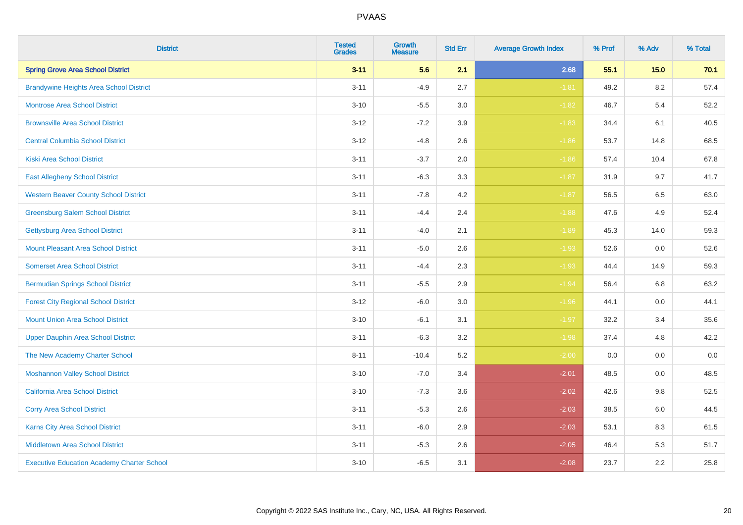| <b>District</b>                                   | <b>Tested</b><br><b>Grades</b> | <b>Growth</b><br><b>Measure</b> | <b>Std Err</b> | <b>Average Growth Index</b> | % Prof | % Adv   | % Total |
|---------------------------------------------------|--------------------------------|---------------------------------|----------------|-----------------------------|--------|---------|---------|
| <b>Spring Grove Area School District</b>          | $3 - 11$                       | 5.6                             | 2.1            | 2.68                        | 55.1   | 15.0    | 70.1    |
| <b>Brandywine Heights Area School District</b>    | $3 - 11$                       | $-4.9$                          | 2.7            | $-1.81$                     | 49.2   | $8.2\,$ | 57.4    |
| <b>Montrose Area School District</b>              | $3 - 10$                       | $-5.5$                          | 3.0            | $-1.82$                     | 46.7   | 5.4     | 52.2    |
| <b>Brownsville Area School District</b>           | $3 - 12$                       | $-7.2$                          | 3.9            | $-1.83$                     | 34.4   | 6.1     | 40.5    |
| <b>Central Columbia School District</b>           | $3 - 12$                       | $-4.8$                          | 2.6            | $-1.86$                     | 53.7   | 14.8    | 68.5    |
| <b>Kiski Area School District</b>                 | $3 - 11$                       | $-3.7$                          | 2.0            | $-1.86$                     | 57.4   | 10.4    | 67.8    |
| <b>East Allegheny School District</b>             | $3 - 11$                       | $-6.3$                          | 3.3            | $-1.87$                     | 31.9   | 9.7     | 41.7    |
| <b>Western Beaver County School District</b>      | $3 - 11$                       | $-7.8$                          | 4.2            | $-1.87$                     | 56.5   | 6.5     | 63.0    |
| <b>Greensburg Salem School District</b>           | $3 - 11$                       | $-4.4$                          | 2.4            | $-1.88$                     | 47.6   | 4.9     | 52.4    |
| <b>Gettysburg Area School District</b>            | $3 - 11$                       | $-4.0$                          | 2.1            | $-1.89$                     | 45.3   | 14.0    | 59.3    |
| <b>Mount Pleasant Area School District</b>        | $3 - 11$                       | $-5.0$                          | 2.6            | $-1.93$                     | 52.6   | 0.0     | 52.6    |
| <b>Somerset Area School District</b>              | $3 - 11$                       | $-4.4$                          | 2.3            | $-1.93$                     | 44.4   | 14.9    | 59.3    |
| <b>Bermudian Springs School District</b>          | $3 - 11$                       | $-5.5$                          | 2.9            | $-1.94$                     | 56.4   | 6.8     | 63.2    |
| <b>Forest City Regional School District</b>       | $3 - 12$                       | $-6.0$                          | 3.0            | $-1.96$                     | 44.1   | 0.0     | 44.1    |
| <b>Mount Union Area School District</b>           | $3 - 10$                       | $-6.1$                          | 3.1            | $-1.97$                     | 32.2   | 3.4     | 35.6    |
| <b>Upper Dauphin Area School District</b>         | $3 - 11$                       | $-6.3$                          | 3.2            | $-1.98$                     | 37.4   | 4.8     | 42.2    |
| The New Academy Charter School                    | $8 - 11$                       | $-10.4$                         | 5.2            | $-2.00$                     | 0.0    | 0.0     | $0.0\,$ |
| <b>Moshannon Valley School District</b>           | $3 - 10$                       | $-7.0$                          | 3.4            | $-2.01$                     | 48.5   | 0.0     | 48.5    |
| <b>California Area School District</b>            | $3 - 10$                       | $-7.3$                          | 3.6            | $-2.02$                     | 42.6   | 9.8     | 52.5    |
| <b>Corry Area School District</b>                 | $3 - 11$                       | $-5.3$                          | 2.6            | $-2.03$                     | 38.5   | 6.0     | 44.5    |
| Karns City Area School District                   | $3 - 11$                       | $-6.0$                          | 2.9            | $-2.03$                     | 53.1   | 8.3     | 61.5    |
| <b>Middletown Area School District</b>            | $3 - 11$                       | $-5.3$                          | 2.6            | $-2.05$                     | 46.4   | 5.3     | 51.7    |
| <b>Executive Education Academy Charter School</b> | $3 - 10$                       | $-6.5$                          | 3.1            | $-2.08$                     | 23.7   | 2.2     | 25.8    |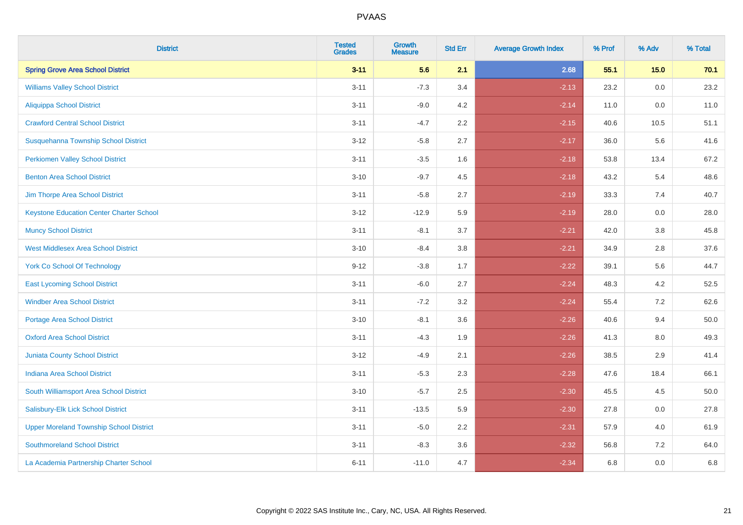| <b>District</b>                                 | <b>Tested</b><br><b>Grades</b> | <b>Growth</b><br><b>Measure</b> | <b>Std Err</b> | <b>Average Growth Index</b> | % Prof | % Adv | % Total |
|-------------------------------------------------|--------------------------------|---------------------------------|----------------|-----------------------------|--------|-------|---------|
| <b>Spring Grove Area School District</b>        | $3 - 11$                       | 5.6                             | 2.1            | 2.68                        | 55.1   | 15.0  | 70.1    |
| <b>Williams Valley School District</b>          | $3 - 11$                       | $-7.3$                          | 3.4            | $-2.13$                     | 23.2   | 0.0   | 23.2    |
| Aliquippa School District                       | $3 - 11$                       | $-9.0$                          | 4.2            | $-2.14$                     | 11.0   | 0.0   | 11.0    |
| <b>Crawford Central School District</b>         | $3 - 11$                       | $-4.7$                          | 2.2            | $-2.15$                     | 40.6   | 10.5  | 51.1    |
| Susquehanna Township School District            | $3 - 12$                       | $-5.8$                          | 2.7            | $-2.17$                     | 36.0   | 5.6   | 41.6    |
| <b>Perkiomen Valley School District</b>         | $3 - 11$                       | $-3.5$                          | 1.6            | $-2.18$                     | 53.8   | 13.4  | 67.2    |
| <b>Benton Area School District</b>              | $3 - 10$                       | $-9.7$                          | 4.5            | $-2.18$                     | 43.2   | 5.4   | 48.6    |
| Jim Thorpe Area School District                 | $3 - 11$                       | $-5.8$                          | 2.7            | $-2.19$                     | 33.3   | 7.4   | 40.7    |
| <b>Keystone Education Center Charter School</b> | $3 - 12$                       | $-12.9$                         | 5.9            | $-2.19$                     | 28.0   | 0.0   | 28.0    |
| <b>Muncy School District</b>                    | $3 - 11$                       | $-8.1$                          | 3.7            | $-2.21$                     | 42.0   | 3.8   | 45.8    |
| <b>West Middlesex Area School District</b>      | $3 - 10$                       | $-8.4$                          | 3.8            | $-2.21$                     | 34.9   | 2.8   | 37.6    |
| <b>York Co School Of Technology</b>             | $9 - 12$                       | $-3.8$                          | 1.7            | $-2.22$                     | 39.1   | 5.6   | 44.7    |
| <b>East Lycoming School District</b>            | $3 - 11$                       | $-6.0$                          | 2.7            | $-2.24$                     | 48.3   | 4.2   | 52.5    |
| <b>Windber Area School District</b>             | $3 - 11$                       | $-7.2$                          | 3.2            | $-2.24$                     | 55.4   | 7.2   | 62.6    |
| <b>Portage Area School District</b>             | $3 - 10$                       | $-8.1$                          | 3.6            | $-2.26$                     | 40.6   | 9.4   | 50.0    |
| <b>Oxford Area School District</b>              | $3 - 11$                       | $-4.3$                          | 1.9            | $-2.26$                     | 41.3   | 8.0   | 49.3    |
| Juniata County School District                  | $3 - 12$                       | $-4.9$                          | 2.1            | $-2.26$                     | 38.5   | 2.9   | 41.4    |
| <b>Indiana Area School District</b>             | $3 - 11$                       | $-5.3$                          | 2.3            | $-2.28$                     | 47.6   | 18.4  | 66.1    |
| South Williamsport Area School District         | $3 - 10$                       | $-5.7$                          | 2.5            | $-2.30$                     | 45.5   | 4.5   | 50.0    |
| Salisbury-Elk Lick School District              | $3 - 11$                       | $-13.5$                         | 5.9            | $-2.30$                     | 27.8   | 0.0   | 27.8    |
| <b>Upper Moreland Township School District</b>  | $3 - 11$                       | $-5.0$                          | 2.2            | $-2.31$                     | 57.9   | 4.0   | 61.9    |
| <b>Southmoreland School District</b>            | $3 - 11$                       | $-8.3$                          | 3.6            | $-2.32$                     | 56.8   | 7.2   | 64.0    |
| La Academia Partnership Charter School          | $6 - 11$                       | $-11.0$                         | 4.7            | $-2.34$                     | 6.8    | 0.0   | 6.8     |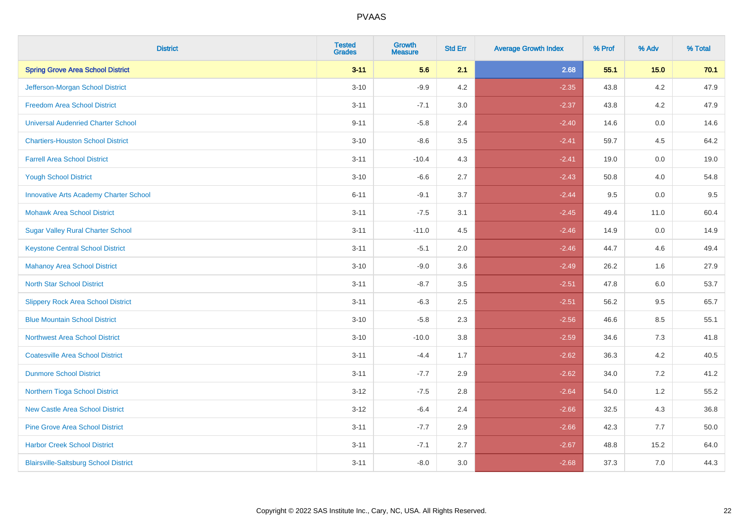| <b>District</b>                               | <b>Tested</b><br><b>Grades</b> | <b>Growth</b><br><b>Measure</b> | <b>Std Err</b> | <b>Average Growth Index</b> | % Prof | % Adv   | % Total |
|-----------------------------------------------|--------------------------------|---------------------------------|----------------|-----------------------------|--------|---------|---------|
| <b>Spring Grove Area School District</b>      | $3 - 11$                       | 5.6                             | 2.1            | 2.68                        | 55.1   | 15.0    | 70.1    |
| Jefferson-Morgan School District              | $3 - 10$                       | $-9.9$                          | 4.2            | $-2.35$                     | 43.8   | 4.2     | 47.9    |
| <b>Freedom Area School District</b>           | $3 - 11$                       | $-7.1$                          | 3.0            | $-2.37$                     | 43.8   | 4.2     | 47.9    |
| <b>Universal Audenried Charter School</b>     | $9 - 11$                       | $-5.8$                          | 2.4            | $-2.40$                     | 14.6   | 0.0     | 14.6    |
| <b>Chartiers-Houston School District</b>      | $3 - 10$                       | $-8.6$                          | 3.5            | $-2.41$                     | 59.7   | 4.5     | 64.2    |
| <b>Farrell Area School District</b>           | $3 - 11$                       | $-10.4$                         | 4.3            | $-2.41$                     | 19.0   | 0.0     | 19.0    |
| <b>Yough School District</b>                  | $3 - 10$                       | $-6.6$                          | 2.7            | $-2.43$                     | 50.8   | 4.0     | 54.8    |
| <b>Innovative Arts Academy Charter School</b> | $6 - 11$                       | $-9.1$                          | 3.7            | $-2.44$                     | 9.5    | 0.0     | 9.5     |
| <b>Mohawk Area School District</b>            | $3 - 11$                       | $-7.5$                          | 3.1            | $-2.45$                     | 49.4   | 11.0    | 60.4    |
| <b>Sugar Valley Rural Charter School</b>      | $3 - 11$                       | $-11.0$                         | 4.5            | $-2.46$                     | 14.9   | 0.0     | 14.9    |
| <b>Keystone Central School District</b>       | $3 - 11$                       | $-5.1$                          | 2.0            | $-2.46$                     | 44.7   | 4.6     | 49.4    |
| <b>Mahanoy Area School District</b>           | $3 - 10$                       | $-9.0$                          | 3.6            | $-2.49$                     | 26.2   | 1.6     | 27.9    |
| <b>North Star School District</b>             | $3 - 11$                       | $-8.7$                          | $3.5\,$        | $-2.51$                     | 47.8   | $6.0\,$ | 53.7    |
| <b>Slippery Rock Area School District</b>     | $3 - 11$                       | $-6.3$                          | 2.5            | $-2.51$                     | 56.2   | 9.5     | 65.7    |
| <b>Blue Mountain School District</b>          | $3 - 10$                       | $-5.8$                          | 2.3            | $-2.56$                     | 46.6   | 8.5     | 55.1    |
| <b>Northwest Area School District</b>         | $3 - 10$                       | $-10.0$                         | 3.8            | $-2.59$                     | 34.6   | $7.3$   | 41.8    |
| <b>Coatesville Area School District</b>       | $3 - 11$                       | $-4.4$                          | 1.7            | $-2.62$                     | 36.3   | 4.2     | 40.5    |
| <b>Dunmore School District</b>                | $3 - 11$                       | $-7.7$                          | 2.9            | $-2.62$                     | 34.0   | 7.2     | 41.2    |
| Northern Tioga School District                | $3 - 12$                       | $-7.5$                          | 2.8            | $-2.64$                     | 54.0   | 1.2     | 55.2    |
| <b>New Castle Area School District</b>        | $3 - 12$                       | $-6.4$                          | 2.4            | $-2.66$                     | 32.5   | 4.3     | 36.8    |
| <b>Pine Grove Area School District</b>        | $3 - 11$                       | $-7.7$                          | 2.9            | $-2.66$                     | 42.3   | 7.7     | 50.0    |
| <b>Harbor Creek School District</b>           | $3 - 11$                       | $-7.1$                          | 2.7            | $-2.67$                     | 48.8   | 15.2    | 64.0    |
| <b>Blairsville-Saltsburg School District</b>  | $3 - 11$                       | $-8.0$                          | 3.0            | $-2.68$                     | 37.3   | 7.0     | 44.3    |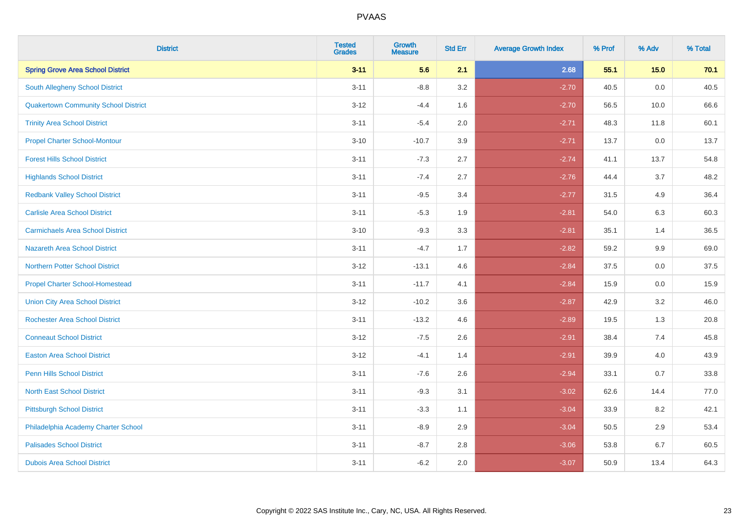| <b>District</b>                             | <b>Tested</b><br><b>Grades</b> | <b>Growth</b><br><b>Measure</b> | <b>Std Err</b> | <b>Average Growth Index</b> | % Prof | % Adv | % Total |
|---------------------------------------------|--------------------------------|---------------------------------|----------------|-----------------------------|--------|-------|---------|
| <b>Spring Grove Area School District</b>    | $3 - 11$                       | 5.6                             | 2.1            | 2.68                        | 55.1   | 15.0  | 70.1    |
| South Allegheny School District             | $3 - 11$                       | $-8.8$                          | 3.2            | $-2.70$                     | 40.5   | 0.0   | 40.5    |
| <b>Quakertown Community School District</b> | $3 - 12$                       | $-4.4$                          | 1.6            | $-2.70$                     | 56.5   | 10.0  | 66.6    |
| <b>Trinity Area School District</b>         | $3 - 11$                       | $-5.4$                          | 2.0            | $-2.71$                     | 48.3   | 11.8  | 60.1    |
| <b>Propel Charter School-Montour</b>        | $3 - 10$                       | $-10.7$                         | 3.9            | $-2.71$                     | 13.7   | 0.0   | 13.7    |
| <b>Forest Hills School District</b>         | $3 - 11$                       | $-7.3$                          | 2.7            | $-2.74$                     | 41.1   | 13.7  | 54.8    |
| <b>Highlands School District</b>            | $3 - 11$                       | $-7.4$                          | 2.7            | $-2.76$                     | 44.4   | 3.7   | 48.2    |
| <b>Redbank Valley School District</b>       | $3 - 11$                       | $-9.5$                          | 3.4            | $-2.77$                     | 31.5   | 4.9   | 36.4    |
| <b>Carlisle Area School District</b>        | $3 - 11$                       | $-5.3$                          | 1.9            | $-2.81$                     | 54.0   | 6.3   | 60.3    |
| <b>Carmichaels Area School District</b>     | $3 - 10$                       | $-9.3$                          | 3.3            | $-2.81$                     | 35.1   | 1.4   | 36.5    |
| Nazareth Area School District               | $3 - 11$                       | $-4.7$                          | 1.7            | $-2.82$                     | 59.2   | 9.9   | 69.0    |
| <b>Northern Potter School District</b>      | $3 - 12$                       | $-13.1$                         | 4.6            | $-2.84$                     | 37.5   | 0.0   | 37.5    |
| <b>Propel Charter School-Homestead</b>      | $3 - 11$                       | $-11.7$                         | 4.1            | $-2.84$                     | 15.9   | 0.0   | 15.9    |
| <b>Union City Area School District</b>      | $3-12$                         | $-10.2$                         | 3.6            | $-2.87$                     | 42.9   | 3.2   | 46.0    |
| <b>Rochester Area School District</b>       | $3 - 11$                       | $-13.2$                         | 4.6            | $-2.89$                     | 19.5   | 1.3   | 20.8    |
| <b>Conneaut School District</b>             | $3 - 12$                       | $-7.5$                          | 2.6            | $-2.91$                     | 38.4   | 7.4   | 45.8    |
| <b>Easton Area School District</b>          | $3 - 12$                       | $-4.1$                          | 1.4            | $-2.91$                     | 39.9   | 4.0   | 43.9    |
| <b>Penn Hills School District</b>           | $3 - 11$                       | $-7.6$                          | 2.6            | $-2.94$                     | 33.1   | 0.7   | 33.8    |
| <b>North East School District</b>           | $3 - 11$                       | $-9.3$                          | 3.1            | $-3.02$                     | 62.6   | 14.4  | 77.0    |
| <b>Pittsburgh School District</b>           | $3 - 11$                       | $-3.3$                          | 1.1            | $-3.04$                     | 33.9   | 8.2   | 42.1    |
| Philadelphia Academy Charter School         | $3 - 11$                       | $-8.9$                          | 2.9            | $-3.04$                     | 50.5   | 2.9   | 53.4    |
| <b>Palisades School District</b>            | $3 - 11$                       | $-8.7$                          | 2.8            | $-3.06$                     | 53.8   | 6.7   | 60.5    |
| <b>Dubois Area School District</b>          | $3 - 11$                       | $-6.2$                          | 2.0            | $-3.07$                     | 50.9   | 13.4  | 64.3    |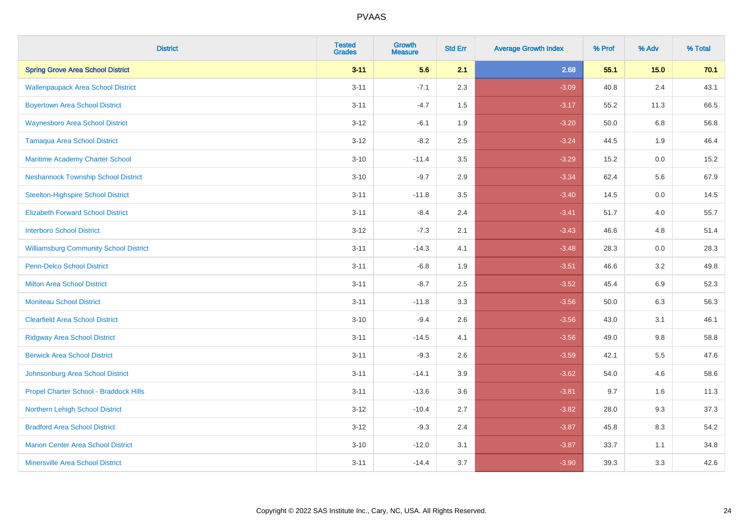| <b>District</b>                               | <b>Tested</b><br><b>Grades</b> | <b>Growth</b><br><b>Measure</b> | <b>Std Err</b> | <b>Average Growth Index</b> | % Prof | % Adv   | % Total |
|-----------------------------------------------|--------------------------------|---------------------------------|----------------|-----------------------------|--------|---------|---------|
| <b>Spring Grove Area School District</b>      | $3 - 11$                       | 5.6                             | 2.1            | 2.68                        | 55.1   | 15.0    | 70.1    |
| <b>Wallenpaupack Area School District</b>     | $3 - 11$                       | $-7.1$                          | 2.3            | $-3.09$                     | 40.8   | 2.4     | 43.1    |
| <b>Boyertown Area School District</b>         | $3 - 11$                       | $-4.7$                          | 1.5            | $-3.17$                     | 55.2   | 11.3    | 66.5    |
| <b>Waynesboro Area School District</b>        | $3 - 12$                       | $-6.1$                          | 1.9            | $-3.20$                     | 50.0   | 6.8     | 56.8    |
| Tamaqua Area School District                  | $3 - 12$                       | $-8.2$                          | 2.5            | $-3.24$                     | 44.5   | 1.9     | 46.4    |
| Maritime Academy Charter School               | $3 - 10$                       | $-11.4$                         | 3.5            | $-3.29$                     | 15.2   | 0.0     | 15.2    |
| <b>Neshannock Township School District</b>    | $3 - 10$                       | $-9.7$                          | 2.9            | $-3.34$                     | 62.4   | 5.6     | 67.9    |
| <b>Steelton-Highspire School District</b>     | $3 - 11$                       | $-11.8$                         | 3.5            | $-3.40$                     | 14.5   | 0.0     | 14.5    |
| <b>Elizabeth Forward School District</b>      | $3 - 11$                       | $-8.4$                          | 2.4            | $-3.41$                     | 51.7   | 4.0     | 55.7    |
| <b>Interboro School District</b>              | $3 - 12$                       | $-7.3$                          | 2.1            | $-3.43$                     | 46.6   | 4.8     | 51.4    |
| <b>Williamsburg Community School District</b> | $3 - 11$                       | $-14.3$                         | 4.1            | $-3.48$                     | 28.3   | 0.0     | 28.3    |
| <b>Penn-Delco School District</b>             | $3 - 11$                       | $-6.8$                          | 1.9            | $-3.51$                     | 46.6   | 3.2     | 49.8    |
| <b>Milton Area School District</b>            | $3 - 11$                       | $-8.7$                          | 2.5            | $-3.52$                     | 45.4   | 6.9     | 52.3    |
| <b>Moniteau School District</b>               | $3 - 11$                       | $-11.8$                         | 3.3            | $-3.56$                     | 50.0   | 6.3     | 56.3    |
| <b>Clearfield Area School District</b>        | $3 - 10$                       | $-9.4$                          | 2.6            | $-3.56$                     | 43.0   | 3.1     | 46.1    |
| <b>Ridgway Area School District</b>           | $3 - 11$                       | $-14.5$                         | 4.1            | $-3.56$                     | 49.0   | $9.8\,$ | 58.8    |
| <b>Berwick Area School District</b>           | $3 - 11$                       | $-9.3$                          | 2.6            | $-3.59$                     | 42.1   | 5.5     | 47.6    |
| Johnsonburg Area School District              | $3 - 11$                       | $-14.1$                         | 3.9            | $-3.62$                     | 54.0   | 4.6     | 58.6    |
| Propel Charter School - Braddock Hills        | $3 - 11$                       | $-13.6$                         | 3.6            | $-3.81$                     | 9.7    | 1.6     | 11.3    |
| Northern Lehigh School District               | $3 - 12$                       | $-10.4$                         | 2.7            | $-3.82$                     | 28.0   | 9.3     | 37.3    |
| <b>Bradford Area School District</b>          | $3 - 12$                       | $-9.3$                          | 2.4            | $-3.87$                     | 45.8   | 8.3     | 54.2    |
| <b>Marion Center Area School District</b>     | $3 - 10$                       | $-12.0$                         | 3.1            | $-3.87$                     | 33.7   | 1.1     | 34.8    |
| <b>Minersville Area School District</b>       | $3 - 11$                       | $-14.4$                         | 3.7            | $-3.90$                     | 39.3   | 3.3     | 42.6    |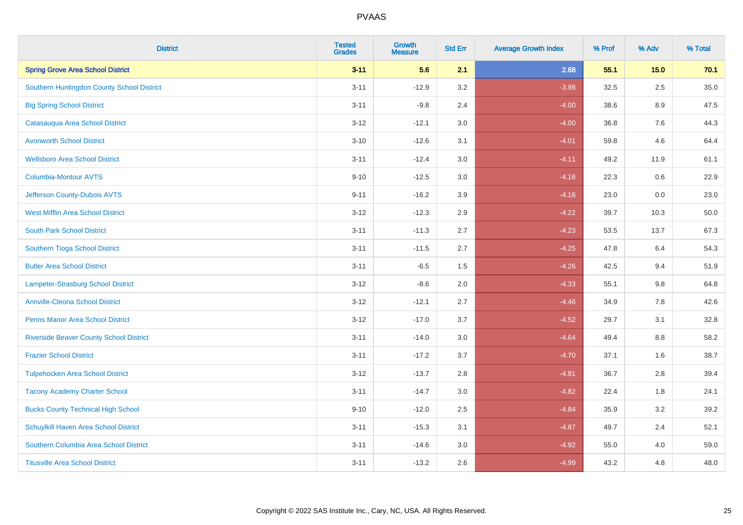| <b>District</b>                                | <b>Tested</b><br><b>Grades</b> | <b>Growth</b><br><b>Measure</b> | <b>Std Err</b> | <b>Average Growth Index</b> | % Prof | % Adv   | % Total |
|------------------------------------------------|--------------------------------|---------------------------------|----------------|-----------------------------|--------|---------|---------|
| <b>Spring Grove Area School District</b>       | $3 - 11$                       | 5.6                             | 2.1            | 2.68                        | 55.1   | $15.0$  | 70.1    |
| Southern Huntingdon County School District     | $3 - 11$                       | $-12.9$                         | 3.2            | $-3.98$                     | 32.5   | 2.5     | 35.0    |
| <b>Big Spring School District</b>              | $3 - 11$                       | $-9.8$                          | 2.4            | $-4.00$                     | 38.6   | 8.9     | 47.5    |
| Catasauqua Area School District                | $3 - 12$                       | $-12.1$                         | 3.0            | $-4.00$                     | 36.8   | $7.6\,$ | 44.3    |
| <b>Avonworth School District</b>               | $3 - 10$                       | $-12.6$                         | 3.1            | $-4.01$                     | 59.8   | 4.6     | 64.4    |
| <b>Wellsboro Area School District</b>          | $3 - 11$                       | $-12.4$                         | 3.0            | $-4.11$                     | 49.2   | 11.9    | 61.1    |
| <b>Columbia-Montour AVTS</b>                   | $9 - 10$                       | $-12.5$                         | 3.0            | $-4.16$                     | 22.3   | 0.6     | 22.9    |
| Jefferson County-Dubois AVTS                   | $9 - 11$                       | $-16.2$                         | 3.9            | $-4.16$                     | 23.0   | 0.0     | 23.0    |
| <b>West Mifflin Area School District</b>       | $3 - 12$                       | $-12.3$                         | 2.9            | $-4.22$                     | 39.7   | 10.3    | 50.0    |
| <b>South Park School District</b>              | $3 - 11$                       | $-11.3$                         | 2.7            | $-4.23$                     | 53.5   | 13.7    | 67.3    |
| Southern Tioga School District                 | $3 - 11$                       | $-11.5$                         | 2.7            | $-4.25$                     | 47.8   | 6.4     | 54.3    |
| <b>Butler Area School District</b>             | $3 - 11$                       | $-6.5$                          | 1.5            | $-4.26$                     | 42.5   | 9.4     | 51.9    |
| <b>Lampeter-Strasburg School District</b>      | $3 - 12$                       | $-8.6$                          | 2.0            | $-4.33$                     | 55.1   | 9.8     | 64.8    |
| <b>Annville-Cleona School District</b>         | $3 - 12$                       | $-12.1$                         | 2.7            | $-4.46$                     | 34.9   | $7.8\,$ | 42.6    |
| <b>Penns Manor Area School District</b>        | $3 - 12$                       | $-17.0$                         | 3.7            | $-4.52$                     | 29.7   | 3.1     | 32.8    |
| <b>Riverside Beaver County School District</b> | $3 - 11$                       | $-14.0$                         | 3.0            | $-4.64$                     | 49.4   | 8.8     | 58.2    |
| <b>Frazier School District</b>                 | $3 - 11$                       | $-17.2$                         | 3.7            | $-4.70$                     | 37.1   | 1.6     | 38.7    |
| <b>Tulpehocken Area School District</b>        | $3 - 12$                       | $-13.7$                         | 2.8            | $-4.81$                     | 36.7   | 2.8     | 39.4    |
| <b>Tacony Academy Charter School</b>           | $3 - 11$                       | $-14.7$                         | 3.0            | $-4.82$                     | 22.4   | 1.8     | 24.1    |
| <b>Bucks County Technical High School</b>      | $9 - 10$                       | $-12.0$                         | 2.5            | $-4.84$                     | 35.9   | 3.2     | 39.2    |
| Schuylkill Haven Area School District          | $3 - 11$                       | $-15.3$                         | 3.1            | $-4.87$                     | 49.7   | 2.4     | 52.1    |
| Southern Columbia Area School District         | $3 - 11$                       | $-14.6$                         | 3.0            | $-4.92$                     | 55.0   | 4.0     | 59.0    |
| <b>Titusville Area School District</b>         | $3 - 11$                       | $-13.2$                         | 2.6            | $-4.99$                     | 43.2   | 4.8     | 48.0    |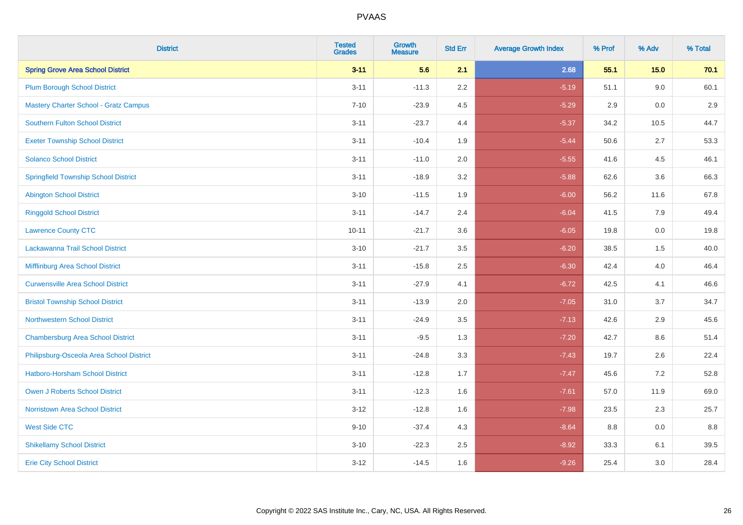| <b>District</b>                              | <b>Tested</b><br><b>Grades</b> | <b>Growth</b><br><b>Measure</b> | <b>Std Err</b> | <b>Average Growth Index</b> | % Prof | % Adv | % Total |
|----------------------------------------------|--------------------------------|---------------------------------|----------------|-----------------------------|--------|-------|---------|
| <b>Spring Grove Area School District</b>     | $3 - 11$                       | 5.6                             | 2.1            | 2.68                        | 55.1   | 15.0  | 70.1    |
| <b>Plum Borough School District</b>          | $3 - 11$                       | $-11.3$                         | 2.2            | $-5.19$                     | 51.1   | 9.0   | 60.1    |
| <b>Mastery Charter School - Gratz Campus</b> | $7 - 10$                       | $-23.9$                         | 4.5            | $-5.29$                     | 2.9    | 0.0   | 2.9     |
| Southern Fulton School District              | $3 - 11$                       | $-23.7$                         | 4.4            | $-5.37$                     | 34.2   | 10.5  | 44.7    |
| <b>Exeter Township School District</b>       | $3 - 11$                       | $-10.4$                         | 1.9            | $-5.44$                     | 50.6   | 2.7   | 53.3    |
| <b>Solanco School District</b>               | $3 - 11$                       | $-11.0$                         | 2.0            | $-5.55$                     | 41.6   | 4.5   | 46.1    |
| <b>Springfield Township School District</b>  | $3 - 11$                       | $-18.9$                         | 3.2            | $-5.88$                     | 62.6   | 3.6   | 66.3    |
| <b>Abington School District</b>              | $3 - 10$                       | $-11.5$                         | 1.9            | $-6.00$                     | 56.2   | 11.6  | 67.8    |
| <b>Ringgold School District</b>              | $3 - 11$                       | $-14.7$                         | 2.4            | $-6.04$                     | 41.5   | 7.9   | 49.4    |
| <b>Lawrence County CTC</b>                   | $10 - 11$                      | $-21.7$                         | 3.6            | $-6.05$                     | 19.8   | 0.0   | 19.8    |
| Lackawanna Trail School District             | $3 - 10$                       | $-21.7$                         | 3.5            | $-6.20$                     | 38.5   | 1.5   | 40.0    |
| Mifflinburg Area School District             | $3 - 11$                       | $-15.8$                         | 2.5            | $-6.30$                     | 42.4   | 4.0   | 46.4    |
| <b>Curwensville Area School District</b>     | $3 - 11$                       | $-27.9$                         | 4.1            | $-6.72$                     | 42.5   | 4.1   | 46.6    |
| <b>Bristol Township School District</b>      | $3 - 11$                       | $-13.9$                         | 2.0            | $-7.05$                     | 31.0   | 3.7   | 34.7    |
| <b>Northwestern School District</b>          | $3 - 11$                       | $-24.9$                         | 3.5            | $-7.13$                     | 42.6   | 2.9   | 45.6    |
| <b>Chambersburg Area School District</b>     | $3 - 11$                       | $-9.5$                          | 1.3            | $-7.20$                     | 42.7   | 8.6   | 51.4    |
| Philipsburg-Osceola Area School District     | $3 - 11$                       | $-24.8$                         | 3.3            | $-7.43$                     | 19.7   | 2.6   | 22.4    |
| Hatboro-Horsham School District              | $3 - 11$                       | $-12.8$                         | 1.7            | $-7.47$                     | 45.6   | 7.2   | 52.8    |
| <b>Owen J Roberts School District</b>        | $3 - 11$                       | $-12.3$                         | 1.6            | $-7.61$                     | 57.0   | 11.9  | 69.0    |
| <b>Norristown Area School District</b>       | $3 - 12$                       | $-12.8$                         | 1.6            | $-7.98$                     | 23.5   | 2.3   | 25.7    |
| <b>West Side CTC</b>                         | $9 - 10$                       | $-37.4$                         | 4.3            | $-8.64$                     | 8.8    | 0.0   | 8.8     |
| <b>Shikellamy School District</b>            | $3 - 10$                       | $-22.3$                         | 2.5            | $-8.92$                     | 33.3   | 6.1   | 39.5    |
| <b>Erie City School District</b>             | $3 - 12$                       | $-14.5$                         | 1.6            | $-9.26$                     | 25.4   | 3.0   | 28.4    |